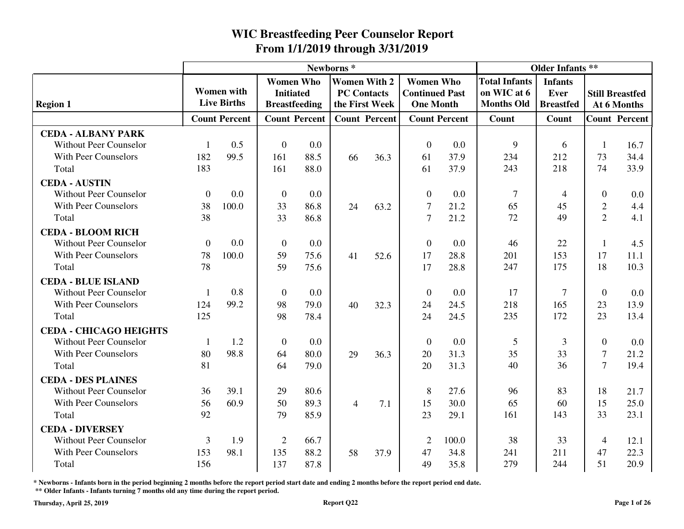|                               |          |                      |                  |                      | Newborns*      |                      |                       |                      |                      | <b>Older Infants **</b> |                |                        |
|-------------------------------|----------|----------------------|------------------|----------------------|----------------|----------------------|-----------------------|----------------------|----------------------|-------------------------|----------------|------------------------|
|                               |          |                      |                  | <b>Women Who</b>     |                | <b>Women With 2</b>  | <b>Women Who</b>      |                      | <b>Total Infants</b> | <b>Infants</b>          |                |                        |
|                               |          | <b>Women</b> with    |                  | <b>Initiated</b>     |                | <b>PC Contacts</b>   | <b>Continued Past</b> |                      | on WIC at 6          | Ever                    |                | <b>Still Breastfed</b> |
| <b>Region 1</b>               |          | <b>Live Births</b>   |                  | <b>Breastfeeding</b> |                | the First Week       | <b>One Month</b>      |                      | <b>Months Old</b>    | <b>Breastfed</b>        |                | At 6 Months            |
|                               |          | <b>Count Percent</b> |                  | <b>Count Percent</b> |                | <b>Count Percent</b> |                       | <b>Count Percent</b> | Count                | Count                   |                | <b>Count Percent</b>   |
| <b>CEDA - ALBANY PARK</b>     |          |                      |                  |                      |                |                      |                       |                      |                      |                         |                |                        |
| <b>Without Peer Counselor</b> | 1        | 0.5                  | $\mathbf{0}$     | 0.0                  |                |                      | $\overline{0}$        | 0.0                  | 9                    | 6                       | 1              | 16.7                   |
| <b>With Peer Counselors</b>   | 182      | 99.5                 | 161              | 88.5                 | 66             | 36.3                 | 61                    | 37.9                 | 234                  | 212                     | 73             | 34.4                   |
| Total                         | 183      |                      | 161              | 88.0                 |                |                      | 61                    | 37.9                 | 243                  | 218                     | 74             | 33.9                   |
| <b>CEDA - AUSTIN</b>          |          |                      |                  |                      |                |                      |                       |                      |                      |                         |                |                        |
| <b>Without Peer Counselor</b> | $\theta$ | 0.0                  | $\boldsymbol{0}$ | 0.0                  |                |                      | $\overline{0}$        | 0.0                  | $\overline{7}$       | $\overline{4}$          | $\mathbf{0}$   | 0.0                    |
| With Peer Counselors          | 38       | 100.0                | 33               | 86.8                 | 24             | 63.2                 | $\tau$                | 21.2                 | 65                   | 45                      | $\overline{2}$ | 4.4                    |
| Total                         | 38       |                      | 33               | 86.8                 |                |                      | $\overline{7}$        | 21.2                 | 72                   | 49                      | $\overline{2}$ | 4.1                    |
| <b>CEDA - BLOOM RICH</b>      |          |                      |                  |                      |                |                      |                       |                      |                      |                         |                |                        |
| <b>Without Peer Counselor</b> | $\theta$ | 0.0                  | $\mathbf{0}$     | 0.0                  |                |                      | $\Omega$              | 0.0                  | 46                   | 22                      | 1              | 4.5                    |
| <b>With Peer Counselors</b>   | 78       | 100.0                | 59               | 75.6                 | 41             | 52.6                 | 17                    | 28.8                 | 201                  | 153                     | 17             | 11.1                   |
| Total                         | 78       |                      | 59               | 75.6                 |                |                      | 17                    | 28.8                 | 247                  | 175                     | 18             | 10.3                   |
| <b>CEDA - BLUE ISLAND</b>     |          |                      |                  |                      |                |                      |                       |                      |                      |                         |                |                        |
| <b>Without Peer Counselor</b> | 1        | 0.8                  | $\overline{0}$   | 0.0                  |                |                      | $\theta$              | 0.0                  | 17                   | $\overline{7}$          | $\overline{0}$ | 0.0                    |
| With Peer Counselors          | 124      | 99.2                 | 98               | 79.0                 | 40             | 32.3                 | 24                    | 24.5                 | 218                  | 165                     | 23             | 13.9                   |
| Total                         | 125      |                      | 98               | 78.4                 |                |                      | 24                    | 24.5                 | 235                  | 172                     | 23             | 13.4                   |
| <b>CEDA - CHICAGO HEIGHTS</b> |          |                      |                  |                      |                |                      |                       |                      |                      |                         |                |                        |
| <b>Without Peer Counselor</b> | 1        | 1.2                  | $\overline{0}$   | 0.0                  |                |                      | $\Omega$              | 0.0                  | 5                    | 3                       | $\overline{0}$ | 0.0                    |
| <b>With Peer Counselors</b>   | 80       | 98.8                 | 64               | 80.0                 | 29             | 36.3                 | 20                    | 31.3                 | 35                   | 33                      | $\overline{7}$ | 21.2                   |
| Total                         | 81       |                      | 64               | 79.0                 |                |                      | 20                    | 31.3                 | 40                   | 36                      | $\overline{7}$ | 19.4                   |
| <b>CEDA - DES PLAINES</b>     |          |                      |                  |                      |                |                      |                       |                      |                      |                         |                |                        |
| <b>Without Peer Counselor</b> | 36       | 39.1                 | 29               | 80.6                 |                |                      | 8                     | 27.6                 | 96                   | 83                      | 18             | 21.7                   |
| <b>With Peer Counselors</b>   | 56       | 60.9                 | 50               | 89.3                 | $\overline{4}$ | 7.1                  | 15                    | 30.0                 | 65                   | 60                      | 15             | 25.0                   |
| Total                         | 92       |                      | 79               | 85.9                 |                |                      | 23                    | 29.1                 | 161                  | 143                     | 33             | 23.1                   |
| <b>CEDA - DIVERSEY</b>        |          |                      |                  |                      |                |                      |                       |                      |                      |                         |                |                        |
| <b>Without Peer Counselor</b> | 3        | 1.9                  | $\overline{2}$   | 66.7                 |                |                      | $\overline{2}$        | 100.0                | 38                   | 33                      | 4              | 12.1                   |
| <b>With Peer Counselors</b>   | 153      | 98.1                 | 135              | 88.2                 | 58             | 37.9                 | 47                    | 34.8                 | 241                  | 211                     | 47             | 22.3                   |
| Total                         | 156      |                      | 137              | 87.8                 |                |                      | 49                    | 35.8                 | 279                  | 244                     | 51             | 20.9                   |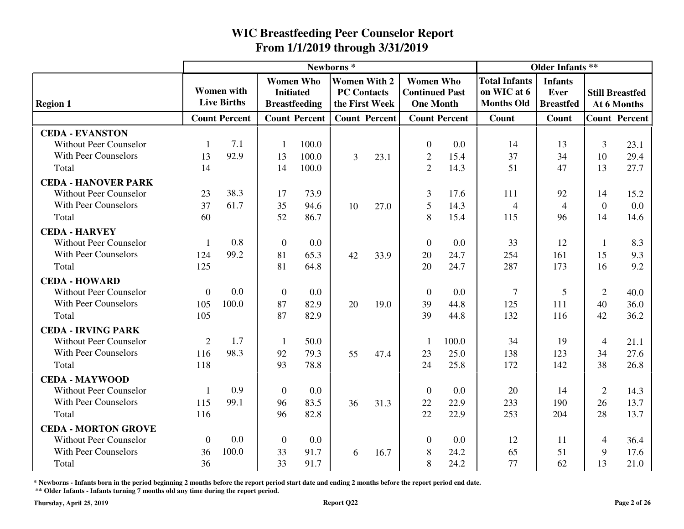|                               |                |                      |                  |                                      | Newborns* |                                           |                                           |                      | <b>Older Infants **</b>             |                        |                |                        |
|-------------------------------|----------------|----------------------|------------------|--------------------------------------|-----------|-------------------------------------------|-------------------------------------------|----------------------|-------------------------------------|------------------------|----------------|------------------------|
|                               |                | <b>Women</b> with    |                  | <b>Women Who</b><br><b>Initiated</b> |           | <b>Women With 2</b><br><b>PC Contacts</b> | <b>Women Who</b><br><b>Continued Past</b> |                      | <b>Total Infants</b><br>on WIC at 6 | <b>Infants</b><br>Ever |                | <b>Still Breastfed</b> |
| <b>Region 1</b>               |                | <b>Live Births</b>   |                  | <b>Breastfeeding</b>                 |           | the First Week                            | <b>One Month</b>                          |                      | <b>Months Old</b>                   | <b>Breastfed</b>       |                | At 6 Months            |
|                               |                | <b>Count Percent</b> |                  | <b>Count Percent</b>                 |           | <b>Count Percent</b>                      |                                           | <b>Count Percent</b> | <b>Count</b>                        | Count                  |                | <b>Count Percent</b>   |
| <b>CEDA - EVANSTON</b>        |                |                      |                  |                                      |           |                                           |                                           |                      |                                     |                        |                |                        |
| <b>Without Peer Counselor</b> | $\mathbf{1}$   | 7.1                  | $\mathbf{1}$     | 100.0                                |           |                                           | $\theta$                                  | 0.0                  | 14                                  | 13                     | 3              | 23.1                   |
| <b>With Peer Counselors</b>   | 13             | 92.9                 | 13               | 100.0                                | 3         | 23.1                                      | $\overline{2}$                            | 15.4                 | 37                                  | 34                     | 10             | 29.4                   |
| Total                         | 14             |                      | 14               | 100.0                                |           |                                           | $\overline{2}$                            | 14.3                 | 51                                  | 47                     | 13             | 27.7                   |
| <b>CEDA - HANOVER PARK</b>    |                |                      |                  |                                      |           |                                           |                                           |                      |                                     |                        |                |                        |
| <b>Without Peer Counselor</b> | 23             | 38.3                 | 17               | 73.9                                 |           |                                           | 3                                         | 17.6                 | 111                                 | 92                     | 14             | 15.2                   |
| With Peer Counselors          | 37             | 61.7                 | 35               | 94.6                                 | 10        | 27.0                                      | 5                                         | 14.3                 | $\overline{4}$                      | $\overline{4}$         | $\overline{0}$ | 0.0                    |
| Total                         | 60             |                      | 52               | 86.7                                 |           |                                           | 8                                         | 15.4                 | 115                                 | 96                     | 14             | 14.6                   |
| <b>CEDA - HARVEY</b>          |                |                      |                  |                                      |           |                                           |                                           |                      |                                     |                        |                |                        |
| <b>Without Peer Counselor</b> | -1             | 0.8                  | $\overline{0}$   | 0.0                                  |           |                                           | $\Omega$                                  | 0.0                  | 33                                  | 12                     | 1              | 8.3                    |
| <b>With Peer Counselors</b>   | 124            | 99.2                 | 81               | 65.3                                 | 42        | 33.9                                      | 20                                        | 24.7                 | 254                                 | 161                    | 15             | 9.3                    |
| Total                         | 125            |                      | 81               | 64.8                                 |           |                                           | 20                                        | 24.7                 | 287                                 | 173                    | 16             | 9.2                    |
| <b>CEDA - HOWARD</b>          |                |                      |                  |                                      |           |                                           |                                           |                      |                                     |                        |                |                        |
| <b>Without Peer Counselor</b> | $\mathbf{0}$   | 0.0                  | $\mathbf{0}$     | 0.0                                  |           |                                           | $\overline{0}$                            | 0.0                  | $\overline{7}$                      | 5                      | $\overline{2}$ | 40.0                   |
| <b>With Peer Counselors</b>   | 105            | 100.0                | 87               | 82.9                                 | 20        | 19.0                                      | 39                                        | 44.8                 | 125                                 | 111                    | 40             | 36.0                   |
| Total                         | 105            |                      | 87               | 82.9                                 |           |                                           | 39                                        | 44.8                 | 132                                 | 116                    | 42             | 36.2                   |
| <b>CEDA - IRVING PARK</b>     |                |                      |                  |                                      |           |                                           |                                           |                      |                                     |                        |                |                        |
| <b>Without Peer Counselor</b> | $\overline{2}$ | 1.7                  | $\mathbf{1}$     | 50.0                                 |           |                                           | -1                                        | 100.0                | 34                                  | 19                     | $\overline{4}$ | 21.1                   |
| <b>With Peer Counselors</b>   | 116            | 98.3                 | 92               | 79.3                                 | 55        | 47.4                                      | 23                                        | 25.0                 | 138                                 | 123                    | 34             | 27.6                   |
| Total                         | 118            |                      | 93               | 78.8                                 |           |                                           | 24                                        | 25.8                 | 172                                 | 142                    | 38             | 26.8                   |
| <b>CEDA - MAYWOOD</b>         |                |                      |                  |                                      |           |                                           |                                           |                      |                                     |                        |                |                        |
| <b>Without Peer Counselor</b> | 1              | 0.9                  | $\mathbf{0}$     | 0.0                                  |           |                                           | $\overline{0}$                            | 0.0                  | 20                                  | 14                     | $\overline{2}$ | 14.3                   |
| <b>With Peer Counselors</b>   | 115            | 99.1                 | 96               | 83.5                                 | 36        | 31.3                                      | 22                                        | 22.9                 | 233                                 | 190                    | 26             | 13.7                   |
| Total                         | 116            |                      | 96               | 82.8                                 |           |                                           | 22                                        | 22.9                 | 253                                 | 204                    | 28             | 13.7                   |
| <b>CEDA - MORTON GROVE</b>    |                |                      |                  |                                      |           |                                           |                                           |                      |                                     |                        |                |                        |
| <b>Without Peer Counselor</b> | $\overline{0}$ | 0.0                  | $\boldsymbol{0}$ | 0.0                                  |           |                                           | $\Omega$                                  | 0.0                  | 12                                  | 11                     | 4              | 36.4                   |
| With Peer Counselors          | 36             | 100.0                | 33               | 91.7                                 | 6         | 16.7                                      | 8                                         | 24.2                 | 65                                  | 51                     | 9              | 17.6                   |
| Total                         | 36             |                      | 33               | 91.7                                 |           |                                           | 8                                         | 24.2                 | 77                                  | 62                     | 13             | 21.0                   |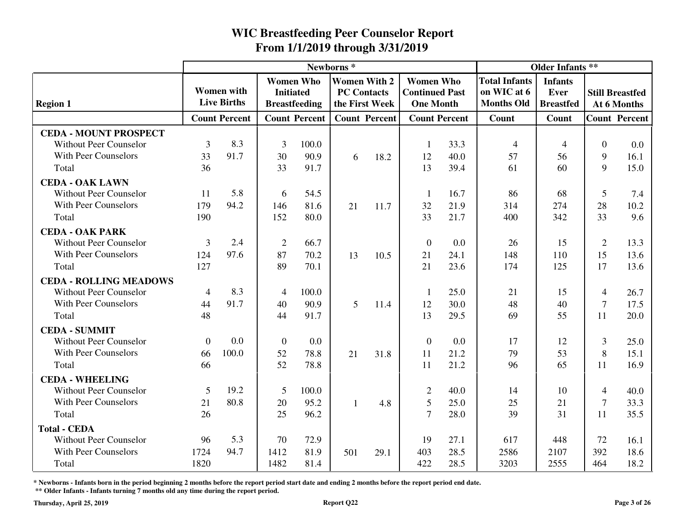|                               | Newborns* |                                         |                |                                                              |              |                                                             |                                                               |      |                                                          | <b>Older Infants **</b>                    |                |                                       |
|-------------------------------|-----------|-----------------------------------------|----------------|--------------------------------------------------------------|--------------|-------------------------------------------------------------|---------------------------------------------------------------|------|----------------------------------------------------------|--------------------------------------------|----------------|---------------------------------------|
| <b>Region 1</b>               |           | <b>Women</b> with<br><b>Live Births</b> |                | <b>Women Who</b><br><b>Initiated</b><br><b>Breastfeeding</b> |              | <b>Women With 2</b><br><b>PC Contacts</b><br>the First Week | <b>Women Who</b><br><b>Continued Past</b><br><b>One Month</b> |      | <b>Total Infants</b><br>on WIC at 6<br><b>Months Old</b> | <b>Infants</b><br>Ever<br><b>Breastfed</b> |                | <b>Still Breastfed</b><br>At 6 Months |
|                               |           | <b>Count Percent</b>                    |                | <b>Count Percent</b>                                         |              | <b>Count Percent</b>                                        | <b>Count Percent</b>                                          |      | <b>Count</b>                                             | Count                                      |                | <b>Count Percent</b>                  |
| <b>CEDA - MOUNT PROSPECT</b>  |           |                                         |                |                                                              |              |                                                             |                                                               |      |                                                          |                                            |                |                                       |
| <b>Without Peer Counselor</b> | 3         | 8.3                                     | 3              | 100.0                                                        |              |                                                             |                                                               | 33.3 | $\overline{4}$                                           | 4                                          | $\overline{0}$ | 0.0                                   |
| <b>With Peer Counselors</b>   | 33        | 91.7                                    | 30             | 90.9                                                         | 6            | 18.2                                                        | 12                                                            | 40.0 | 57                                                       | 56                                         | 9              | 16.1                                  |
| Total                         | 36        |                                         | 33             | 91.7                                                         |              |                                                             | 13                                                            | 39.4 | 61                                                       | 60                                         | 9              | 15.0                                  |
| <b>CEDA - OAK LAWN</b>        |           |                                         |                |                                                              |              |                                                             |                                                               |      |                                                          |                                            |                |                                       |
| <b>Without Peer Counselor</b> | 11        | 5.8                                     | 6              | 54.5                                                         |              |                                                             | -1                                                            | 16.7 | 86                                                       | 68                                         | 5              | 7.4                                   |
| <b>With Peer Counselors</b>   | 179       | 94.2                                    | 146            | 81.6                                                         | 21           | 11.7                                                        | 32                                                            | 21.9 | 314                                                      | 274                                        | 28             | 10.2                                  |
| Total                         | 190       |                                         | 152            | 80.0                                                         |              |                                                             | 33                                                            | 21.7 | 400                                                      | 342                                        | 33             | 9.6                                   |
| <b>CEDA - OAK PARK</b>        |           |                                         |                |                                                              |              |                                                             |                                                               |      |                                                          |                                            |                |                                       |
| <b>Without Peer Counselor</b> | 3         | 2.4                                     | $\overline{2}$ | 66.7                                                         |              |                                                             | $\theta$                                                      | 0.0  | 26                                                       | 15                                         | $\overline{2}$ | 13.3                                  |
| With Peer Counselors          | 124       | 97.6                                    | 87             | 70.2                                                         | 13           | 10.5                                                        | 21                                                            | 24.1 | 148                                                      | 110                                        | 15             | 13.6                                  |
| Total                         | 127       |                                         | 89             | 70.1                                                         |              |                                                             | 21                                                            | 23.6 | 174                                                      | 125                                        | 17             | 13.6                                  |
| <b>CEDA - ROLLING MEADOWS</b> |           |                                         |                |                                                              |              |                                                             |                                                               |      |                                                          |                                            |                |                                       |
| <b>Without Peer Counselor</b> | 4         | 8.3                                     | 4              | 100.0                                                        |              |                                                             | 1                                                             | 25.0 | 21                                                       | 15                                         | $\overline{4}$ | 26.7                                  |
| <b>With Peer Counselors</b>   | 44        | 91.7                                    | 40             | 90.9                                                         | 5            | 11.4                                                        | 12                                                            | 30.0 | 48                                                       | 40                                         | $\overline{7}$ | 17.5                                  |
| Total                         | 48        |                                         | 44             | 91.7                                                         |              |                                                             | 13                                                            | 29.5 | 69                                                       | 55                                         | 11             | 20.0                                  |
| <b>CEDA - SUMMIT</b>          |           |                                         |                |                                                              |              |                                                             |                                                               |      |                                                          |                                            |                |                                       |
| <b>Without Peer Counselor</b> | $\theta$  | 0.0                                     | $\mathbf{0}$   | 0.0                                                          |              |                                                             | $\overline{0}$                                                | 0.0  | 17                                                       | 12                                         | 3              | 25.0                                  |
| <b>With Peer Counselors</b>   | 66        | 100.0                                   | 52             | 78.8                                                         | 21           | 31.8                                                        | 11                                                            | 21.2 | 79                                                       | 53                                         | 8              | 15.1                                  |
| Total                         | 66        |                                         | 52             | 78.8                                                         |              |                                                             | 11                                                            | 21.2 | 96                                                       | 65                                         | 11             | 16.9                                  |
| <b>CEDA - WHEELING</b>        |           |                                         |                |                                                              |              |                                                             |                                                               |      |                                                          |                                            |                |                                       |
| <b>Without Peer Counselor</b> | 5         | 19.2                                    | 5              | 100.0                                                        |              |                                                             | $\mathfrak{2}$                                                | 40.0 | 14                                                       | 10                                         | 4              | 40.0                                  |
| <b>With Peer Counselors</b>   | 21        | 80.8                                    | 20             | 95.2                                                         | $\mathbf{1}$ | 4.8                                                         | 5                                                             | 25.0 | 25                                                       | 21                                         | $\tau$         | 33.3                                  |
| Total                         | 26        |                                         | 25             | 96.2                                                         |              |                                                             | $\tau$                                                        | 28.0 | 39                                                       | 31                                         | 11             | 35.5                                  |
| <b>Total - CEDA</b>           |           |                                         |                |                                                              |              |                                                             |                                                               |      |                                                          |                                            |                |                                       |
| <b>Without Peer Counselor</b> | 96        | 5.3                                     | 70             | 72.9                                                         |              |                                                             | 19                                                            | 27.1 | 617                                                      | 448                                        | 72             | 16.1                                  |
| With Peer Counselors          | 1724      | 94.7                                    | 1412           | 81.9                                                         | 501          | 29.1                                                        | 403                                                           | 28.5 | 2586                                                     | 2107                                       | 392            | 18.6                                  |
| Total                         | 1820      |                                         | 1482           | 81.4                                                         |              |                                                             | 422                                                           | 28.5 | 3203                                                     | 2555                                       | 464            | 18.2                                  |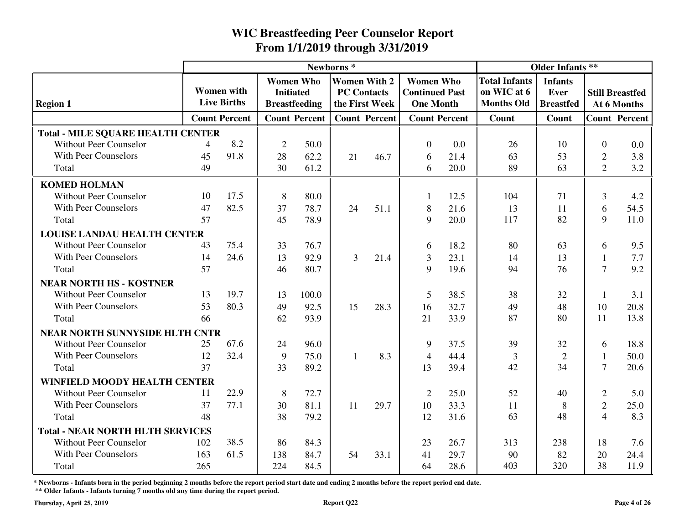|                                          |     | Newborns*            |                  |                      |                |                                      |                                           |      |                                     | <b>Older Infants **</b>  |                |                                       |
|------------------------------------------|-----|----------------------|------------------|----------------------|----------------|--------------------------------------|-------------------------------------------|------|-------------------------------------|--------------------------|----------------|---------------------------------------|
|                                          |     | <b>Women</b> with    |                  | <b>Women Who</b>     |                | <b>Women With 2</b>                  | <b>Women Who</b>                          |      | <b>Total Infants</b><br>on WIC at 6 | <b>Infants</b>           |                |                                       |
| <b>Region 1</b>                          |     | <b>Live Births</b>   | <b>Initiated</b> | <b>Breastfeeding</b> |                | <b>PC Contacts</b><br>the First Week | <b>Continued Past</b><br><b>One Month</b> |      | <b>Months Old</b>                   | Ever<br><b>Breastfed</b> |                | <b>Still Breastfed</b><br>At 6 Months |
|                                          |     | <b>Count Percent</b> |                  | <b>Count Percent</b> |                | <b>Count Percent</b>                 | <b>Count Percent</b>                      |      | Count                               | Count                    |                | <b>Count Percent</b>                  |
| <b>Total - MILE SQUARE HEALTH CENTER</b> |     |                      |                  |                      |                |                                      |                                           |      |                                     |                          |                |                                       |
| <b>Without Peer Counselor</b>            | 4   | 8.2                  | $\overline{2}$   | 50.0                 |                |                                      | $\overline{0}$                            | 0.0  | 26                                  | 10                       | $\overline{0}$ | 0.0                                   |
| <b>With Peer Counselors</b>              | 45  | 91.8                 | 28               | 62.2                 | 21             | 46.7                                 | 6                                         | 21.4 | 63                                  | 53                       | $\overline{2}$ | 3.8                                   |
| Total                                    | 49  |                      | 30               | 61.2                 |                |                                      | 6                                         | 20.0 | 89                                  | 63                       | $\overline{2}$ | 3.2                                   |
| <b>KOMED HOLMAN</b>                      |     |                      |                  |                      |                |                                      |                                           |      |                                     |                          |                |                                       |
| <b>Without Peer Counselor</b>            | 10  | 17.5                 | 8                | 80.0                 |                |                                      | $\mathbf{1}$                              | 12.5 | 104                                 | 71                       | 3              | 4.2                                   |
| <b>With Peer Counselors</b>              | 47  | 82.5                 | 37               | 78.7                 | 24             | 51.1                                 | $8\,$                                     | 21.6 | 13                                  | 11                       | 6              | 54.5                                  |
| Total                                    | 57  |                      | 45               | 78.9                 |                |                                      | 9                                         | 20.0 | 117                                 | 82                       | 9              | 11.0                                  |
| <b>LOUISE LANDAU HEALTH CENTER</b>       |     |                      |                  |                      |                |                                      |                                           |      |                                     |                          |                |                                       |
| <b>Without Peer Counselor</b>            | 43  | 75.4                 | 33               | 76.7                 |                |                                      | 6                                         | 18.2 | 80                                  | 63                       | 6              | 9.5                                   |
| <b>With Peer Counselors</b>              | 14  | 24.6                 | 13               | 92.9                 | $\overline{3}$ | 21.4                                 | 3                                         | 23.1 | 14                                  | 13                       | 1              | 7.7                                   |
| Total                                    | 57  |                      | 46               | 80.7                 |                |                                      | 9                                         | 19.6 | 94                                  | 76                       | $\overline{7}$ | 9.2                                   |
| <b>NEAR NORTH HS - KOSTNER</b>           |     |                      |                  |                      |                |                                      |                                           |      |                                     |                          |                |                                       |
| <b>Without Peer Counselor</b>            | 13  | 19.7                 | 13               | 100.0                |                |                                      | 5                                         | 38.5 | 38                                  | 32                       | 1              | 3.1                                   |
| <b>With Peer Counselors</b>              | 53  | 80.3                 | 49               | 92.5                 | 15             | 28.3                                 | 16                                        | 32.7 | 49                                  | 48                       | 10             | 20.8                                  |
| Total                                    | 66  |                      | 62               | 93.9                 |                |                                      | 21                                        | 33.9 | 87                                  | 80                       | 11             | 13.8                                  |
| NEAR NORTH SUNNYSIDE HLTH CNTR           |     |                      |                  |                      |                |                                      |                                           |      |                                     |                          |                |                                       |
| <b>Without Peer Counselor</b>            | 25  | 67.6                 | 24               | 96.0                 |                |                                      | 9                                         | 37.5 | 39                                  | 32                       | 6              | 18.8                                  |
| <b>With Peer Counselors</b>              | 12  | 32.4                 | 9                | 75.0                 | $\mathbf{1}$   | 8.3                                  | $\overline{4}$                            | 44.4 | 3                                   | $\mathfrak{2}$           | $\mathbf{1}$   | 50.0                                  |
| Total                                    | 37  |                      | 33               | 89.2                 |                |                                      | 13                                        | 39.4 | 42                                  | 34                       | $\overline{7}$ | 20.6                                  |
| <b>WINFIELD MOODY HEALTH CENTER</b>      |     |                      |                  |                      |                |                                      |                                           |      |                                     |                          |                |                                       |
| <b>Without Peer Counselor</b>            | 11  | 22.9                 | 8                | 72.7                 |                |                                      | 2                                         | 25.0 | 52                                  | 40                       | $\overline{2}$ | 5.0                                   |
| With Peer Counselors                     | 37  | 77.1                 | 30               | 81.1                 | 11             | 29.7                                 | 10                                        | 33.3 | 11                                  | 8                        | $\overline{2}$ | 25.0                                  |
| Total                                    | 48  |                      | 38               | 79.2                 |                |                                      | 12                                        | 31.6 | 63                                  | 48                       | $\overline{4}$ | 8.3                                   |
| <b>Total - NEAR NORTH HLTH SERVICES</b>  |     |                      |                  |                      |                |                                      |                                           |      |                                     |                          |                |                                       |
| <b>Without Peer Counselor</b>            | 102 | 38.5                 | 86               | 84.3                 |                |                                      | 23                                        | 26.7 | 313                                 | 238                      | 18             | 7.6                                   |
| <b>With Peer Counselors</b>              | 163 | 61.5                 | 138              | 84.7                 | 54             | 33.1                                 | 41                                        | 29.7 | 90                                  | 82                       | 20             | 24.4                                  |
| Total                                    | 265 |                      | 224              | 84.5                 |                |                                      | 64                                        | 28.6 | 403                                 | 320                      | 38             | 11.9                                  |

**\* Newborns - Infants born in the period beginning 2 months before the report period start date and ending 2 months before the report period end date.**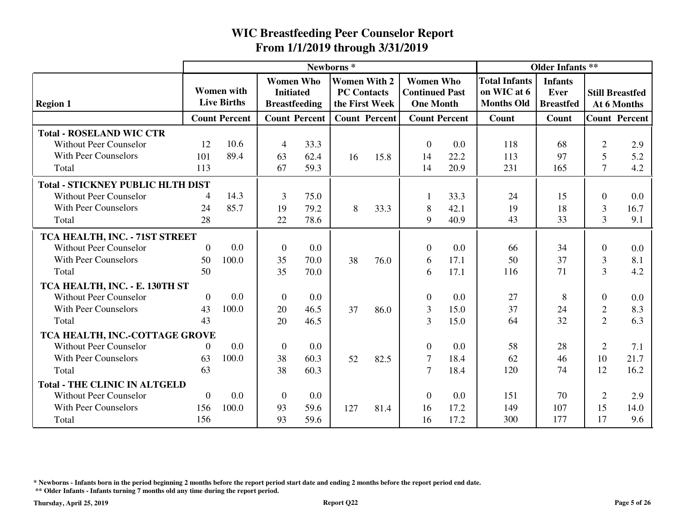|                                          |                |                                         |                                                              |                      | Newborns <sup>*</sup>                     |                      |                                                               |      |                                                          | <b>Older Infants **</b>                    |                |                                       |
|------------------------------------------|----------------|-----------------------------------------|--------------------------------------------------------------|----------------------|-------------------------------------------|----------------------|---------------------------------------------------------------|------|----------------------------------------------------------|--------------------------------------------|----------------|---------------------------------------|
| <b>Region 1</b>                          |                | <b>Women</b> with<br><b>Live Births</b> | <b>Women Who</b><br><b>Initiated</b><br><b>Breastfeeding</b> |                      | <b>Women With 2</b><br><b>PC Contacts</b> | the First Week       | <b>Women Who</b><br><b>Continued Past</b><br><b>One Month</b> |      | <b>Total Infants</b><br>on WIC at 6<br><b>Months Old</b> | <b>Infants</b><br>Ever<br><b>Breastfed</b> |                | <b>Still Breastfed</b><br>At 6 Months |
|                                          |                | <b>Count Percent</b>                    |                                                              | <b>Count Percent</b> |                                           | <b>Count Percent</b> | <b>Count Percent</b>                                          |      | Count                                                    | Count                                      |                | <b>Count Percent</b>                  |
| <b>Total - ROSELAND WIC CTR</b>          |                |                                         |                                                              |                      |                                           |                      |                                                               |      |                                                          |                                            |                |                                       |
| <b>Without Peer Counselor</b>            | 12             | 10.6                                    | 4                                                            | 33.3                 |                                           |                      | $\overline{0}$                                                | 0.0  | 118                                                      | 68                                         | $\overline{2}$ | 2.9                                   |
| <b>With Peer Counselors</b>              | 101            | 89.4                                    | 63                                                           | 62.4                 | 16                                        | 15.8                 | 14                                                            | 22.2 | 113                                                      | 97                                         | 5              | 5.2                                   |
| Total                                    | 113            |                                         | 67                                                           | 59.3                 |                                           |                      | 14                                                            | 20.9 | 231                                                      | 165                                        | $\overline{7}$ | 4.2                                   |
| <b>Total - STICKNEY PUBLIC HLTH DIST</b> |                |                                         |                                                              |                      |                                           |                      |                                                               |      |                                                          |                                            |                |                                       |
| <b>Without Peer Counselor</b>            | $\overline{4}$ | 14.3                                    | 3                                                            | 75.0                 |                                           |                      |                                                               | 33.3 | 24                                                       | 15                                         | $\Omega$       | 0.0                                   |
| <b>With Peer Counselors</b>              | 24             | 85.7                                    | 19                                                           | 79.2                 | 8                                         | 33.3                 | 8                                                             | 42.1 | 19                                                       | 18                                         | 3              | 16.7                                  |
| Total                                    | 28             |                                         | 22                                                           | 78.6                 |                                           |                      | 9                                                             | 40.9 | 43                                                       | 33                                         | 3              | 9.1                                   |
| TCA HEALTH, INC. - 71ST STREET           |                |                                         |                                                              |                      |                                           |                      |                                                               |      |                                                          |                                            |                |                                       |
| <b>Without Peer Counselor</b>            | $\overline{0}$ | 0.0                                     | $\mathbf{0}$                                                 | 0.0                  |                                           |                      | $\Omega$                                                      | 0.0  | 66                                                       | 34                                         | $\Omega$       | 0.0                                   |
| <b>With Peer Counselors</b>              | 50             | 100.0                                   | 35                                                           | 70.0                 | 38                                        | 76.0                 | 6                                                             | 17.1 | 50                                                       | 37                                         | 3              | 8.1                                   |
| Total                                    | 50             |                                         | 35                                                           | 70.0                 |                                           |                      | 6                                                             | 17.1 | 116                                                      | 71                                         | 3              | 4.2                                   |
| TCA HEALTH, INC. - E. 130TH ST           |                |                                         |                                                              |                      |                                           |                      |                                                               |      |                                                          |                                            |                |                                       |
| <b>Without Peer Counselor</b>            | $\Omega$       | 0.0                                     | $\mathbf{0}$                                                 | 0.0                  |                                           |                      | $\overline{0}$                                                | 0.0  | 27                                                       | 8                                          | $\Omega$       | 0.0                                   |
| <b>With Peer Counselors</b>              | 43             | 100.0                                   | 20                                                           | 46.5                 | 37                                        | 86.0                 | $\mathfrak{Z}$                                                | 15.0 | 37                                                       | 24                                         | $\overline{2}$ | 8.3                                   |
| Total                                    | 43             |                                         | 20                                                           | 46.5                 |                                           |                      | 3                                                             | 15.0 | 64                                                       | 32                                         | $\overline{2}$ | 6.3                                   |
| TCA HEALTH, INC.-COTTAGE GROVE           |                |                                         |                                                              |                      |                                           |                      |                                                               |      |                                                          |                                            |                |                                       |
| <b>Without Peer Counselor</b>            | $\Omega$       | 0.0                                     | $\overline{0}$                                               | 0.0                  |                                           |                      | $\theta$                                                      | 0.0  | 58                                                       | 28                                         | $\overline{2}$ | 7.1                                   |
| <b>With Peer Counselors</b>              | 63             | 100.0                                   | 38                                                           | 60.3                 | 52                                        | 82.5                 | $\tau$                                                        | 18.4 | 62                                                       | 46                                         | 10             | 21.7                                  |
| Total                                    | 63             |                                         | 38                                                           | 60.3                 |                                           |                      | 7                                                             | 18.4 | 120                                                      | 74                                         | 12             | 16.2                                  |
| <b>Total - THE CLINIC IN ALTGELD</b>     |                |                                         |                                                              |                      |                                           |                      |                                                               |      |                                                          |                                            |                |                                       |
| <b>Without Peer Counselor</b>            | $\overline{0}$ | 0.0                                     | $\mathbf{0}$                                                 | 0.0                  |                                           |                      | $\theta$                                                      | 0.0  | 151                                                      | 70                                         | $\overline{2}$ | 2.9                                   |
| <b>With Peer Counselors</b>              | 156            | 100.0                                   | 93                                                           | 59.6                 | 127                                       | 81.4                 | 16                                                            | 17.2 | 149                                                      | 107                                        | 15             | 14.0                                  |
| Total                                    | 156            |                                         | 93                                                           | 59.6                 |                                           |                      | 16                                                            | 17.2 | 300                                                      | 177                                        | 17             | 9.6                                   |

**\* Newborns - Infants born in the period beginning 2 months before the report period start date and ending 2 months before the report period end date.**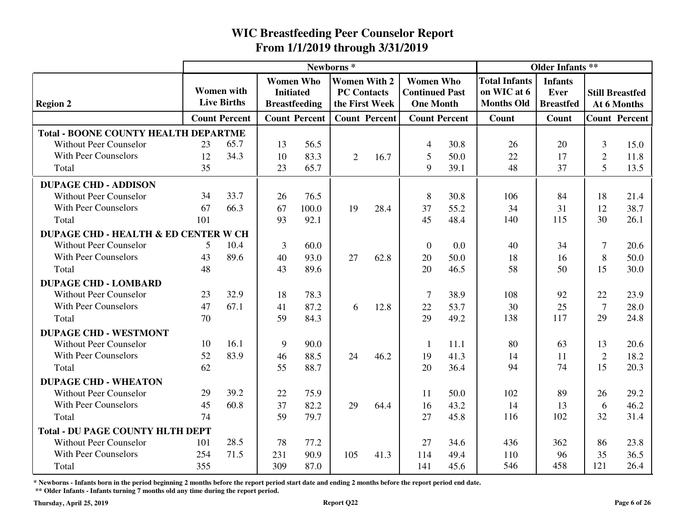|                                                 |     |                      |                  |                      | Newborns*          |                      |                                           |                      | <b>Older Infants **</b>             |                          |                |                                       |
|-------------------------------------------------|-----|----------------------|------------------|----------------------|--------------------|----------------------|-------------------------------------------|----------------------|-------------------------------------|--------------------------|----------------|---------------------------------------|
|                                                 |     | <b>Women</b> with    |                  | <b>Women Who</b>     |                    | <b>Women With 2</b>  | <b>Women Who</b>                          |                      | <b>Total Infants</b><br>on WIC at 6 | <b>Infants</b>           |                |                                       |
| <b>Region 2</b>                                 |     | <b>Live Births</b>   | <b>Initiated</b> | <b>Breastfeeding</b> | <b>PC Contacts</b> | the First Week       | <b>Continued Past</b><br><b>One Month</b> |                      | <b>Months Old</b>                   | Ever<br><b>Breastfed</b> |                | <b>Still Breastfed</b><br>At 6 Months |
|                                                 |     | <b>Count Percent</b> |                  | <b>Count Percent</b> |                    | <b>Count Percent</b> |                                           | <b>Count Percent</b> | Count                               | <b>Count</b>             |                | <b>Count Percent</b>                  |
| <b>Total - BOONE COUNTY HEALTH DEPARTME</b>     |     |                      |                  |                      |                    |                      |                                           |                      |                                     |                          |                |                                       |
| Without Peer Counselor                          | 23  | 65.7                 | 13               | 56.5                 |                    |                      | 4                                         | 30.8                 | 26                                  | 20                       | $\overline{3}$ | 15.0                                  |
| With Peer Counselors                            | 12  | 34.3                 | 10               | 83.3                 | $\overline{2}$     | 16.7                 | 5                                         | 50.0                 | 22                                  | 17                       | $\overline{2}$ | 11.8                                  |
| Total                                           | 35  |                      | 23               | 65.7                 |                    |                      | 9                                         | 39.1                 | 48                                  | 37                       | 5              | 13.5                                  |
| <b>DUPAGE CHD - ADDISON</b>                     |     |                      |                  |                      |                    |                      |                                           |                      |                                     |                          |                |                                       |
| Without Peer Counselor                          | 34  | 33.7                 | 26               | 76.5                 |                    |                      | 8                                         | 30.8                 | 106                                 | 84                       | 18             | 21.4                                  |
| <b>With Peer Counselors</b>                     | 67  | 66.3                 | 67               | 100.0                | 19                 | 28.4                 | 37                                        | 55.2                 | 34                                  | 31                       | 12             | 38.7                                  |
| Total                                           | 101 |                      | 93               | 92.1                 |                    |                      | 45                                        | 48.4                 | 140                                 | 115                      | 30             | 26.1                                  |
| <b>DUPAGE CHD - HEALTH &amp; ED CENTER W CH</b> |     |                      |                  |                      |                    |                      |                                           |                      |                                     |                          |                |                                       |
| Without Peer Counselor                          | 5   | 10.4                 | 3                | 60.0                 |                    |                      | $\mathbf{0}$                              | 0.0                  | 40                                  | 34                       | $\overline{7}$ | 20.6                                  |
| <b>With Peer Counselors</b>                     | 43  | 89.6                 | 40               | 93.0                 | 27                 | 62.8                 | 20                                        | 50.0                 | 18                                  | 16                       | $\,8\,$        | 50.0                                  |
| Total                                           | 48  |                      | 43               | 89.6                 |                    |                      | 20                                        | 46.5                 | 58                                  | 50                       | 15             | 30.0                                  |
| <b>DUPAGE CHD - LOMBARD</b>                     |     |                      |                  |                      |                    |                      |                                           |                      |                                     |                          |                |                                       |
| Without Peer Counselor                          | 23  | 32.9                 | 18               | 78.3                 |                    |                      | $\overline{7}$                            | 38.9                 | 108                                 | 92                       | 22             | 23.9                                  |
| With Peer Counselors                            | 47  | 67.1                 | 41               | 87.2                 | 6                  | 12.8                 | 22                                        | 53.7                 | 30                                  | 25                       | $\overline{7}$ | 28.0                                  |
| Total                                           | 70  |                      | 59               | 84.3                 |                    |                      | 29                                        | 49.2                 | 138                                 | 117                      | 29             | 24.8                                  |
| <b>DUPAGE CHD - WESTMONT</b>                    |     |                      |                  |                      |                    |                      |                                           |                      |                                     |                          |                |                                       |
| Without Peer Counselor                          | 10  | 16.1                 | 9                | 90.0                 |                    |                      | -1                                        | 11.1                 | 80                                  | 63                       | 13             | 20.6                                  |
| With Peer Counselors                            | 52  | 83.9                 | 46               | 88.5                 | 24                 | 46.2                 | 19                                        | 41.3                 | 14                                  | 11                       | $\overline{2}$ | 18.2                                  |
| Total                                           | 62  |                      | 55               | 88.7                 |                    |                      | 20                                        | 36.4                 | 94                                  | 74                       | 15             | 20.3                                  |
| <b>DUPAGE CHD - WHEATON</b>                     |     |                      |                  |                      |                    |                      |                                           |                      |                                     |                          |                |                                       |
| Without Peer Counselor                          | 29  | 39.2                 | 22               | 75.9                 |                    |                      | 11                                        | 50.0                 | 102                                 | 89                       | 26             | 29.2                                  |
| <b>With Peer Counselors</b>                     | 45  | 60.8                 | 37               | 82.2                 | 29                 | 64.4                 | 16                                        | 43.2                 | 14                                  | 13                       | 6              | 46.2                                  |
| Total                                           | 74  |                      | 59               | 79.7                 |                    |                      | 27                                        | 45.8                 | 116                                 | 102                      | 32             | 31.4                                  |
| <b>Total - DU PAGE COUNTY HLTH DEPT</b>         |     |                      |                  |                      |                    |                      |                                           |                      |                                     |                          |                |                                       |
| Without Peer Counselor                          | 101 | 28.5                 | 78               | 77.2                 |                    |                      | 27                                        | 34.6                 | 436                                 | 362                      | 86             | 23.8                                  |
| <b>With Peer Counselors</b>                     | 254 | 71.5                 | 231              | 90.9                 | 105                | 41.3                 | 114                                       | 49.4                 | 110                                 | 96                       | 35             | 36.5                                  |
| Total                                           | 355 |                      | 309              | 87.0                 |                    |                      | 141                                       | 45.6                 | 546                                 | 458                      | 121            | 26.4                                  |

**\* Newborns - Infants born in the period beginning 2 months before the report period start date and ending 2 months before the report period end date.**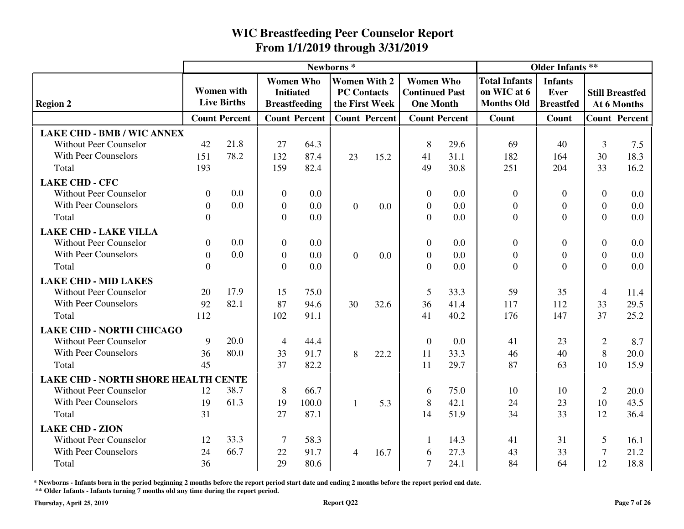|                                     |          |                                         |                |                                      | Newborns*      |                                           |                                           |      |                                     | <b>Older Infants **</b> |                |                        |
|-------------------------------------|----------|-----------------------------------------|----------------|--------------------------------------|----------------|-------------------------------------------|-------------------------------------------|------|-------------------------------------|-------------------------|----------------|------------------------|
|                                     |          | <b>Women</b> with<br><b>Live Births</b> |                | <b>Women Who</b><br><b>Initiated</b> |                | <b>Women With 2</b><br><b>PC Contacts</b> | <b>Women Who</b><br><b>Continued Past</b> |      | <b>Total Infants</b><br>on WIC at 6 | <b>Infants</b><br>Ever  |                | <b>Still Breastfed</b> |
| <b>Region 2</b>                     |          |                                         |                | <b>Breastfeeding</b>                 |                | the First Week                            | <b>One Month</b>                          |      | <b>Months Old</b>                   | <b>Breastfed</b>        |                | At 6 Months            |
|                                     |          | <b>Count Percent</b>                    |                | <b>Count Percent</b>                 |                | <b>Count Percent</b>                      | <b>Count Percent</b>                      |      | <b>Count</b>                        | Count                   |                | <b>Count Percent</b>   |
| <b>LAKE CHD - BMB / WIC ANNEX</b>   |          |                                         |                |                                      |                |                                           |                                           |      |                                     |                         |                |                        |
| <b>Without Peer Counselor</b>       | 42       | 21.8                                    | 27             | 64.3                                 |                |                                           | 8                                         | 29.6 | 69                                  | 40                      | $\overline{3}$ | 7.5                    |
| <b>With Peer Counselors</b>         | 151      | 78.2                                    | 132            | 87.4                                 | 23             | 15.2                                      | 41                                        | 31.1 | 182                                 | 164                     | 30             | 18.3                   |
| Total                               | 193      |                                         | 159            | 82.4                                 |                |                                           | 49                                        | 30.8 | 251                                 | 204                     | 33             | 16.2                   |
| <b>LAKE CHD - CFC</b>               |          |                                         |                |                                      |                |                                           |                                           |      |                                     |                         |                |                        |
| <b>Without Peer Counselor</b>       | $\theta$ | 0.0                                     | $\mathbf{0}$   | 0.0                                  |                |                                           | $\theta$                                  | 0.0  | $\overline{0}$                      | $\boldsymbol{0}$        | $\theta$       | 0.0                    |
| <b>With Peer Counselors</b>         | $\Omega$ | 0.0                                     | $\overline{0}$ | 0.0                                  | $\theta$       | 0.0                                       | $\overline{0}$                            | 0.0  | $\overline{0}$                      | $\boldsymbol{0}$        | $\Omega$       | 0.0                    |
| Total                               | $\Omega$ |                                         | $\overline{0}$ | 0.0                                  |                |                                           | $\Omega$                                  | 0.0  | $\overline{0}$                      | $\Omega$                | $\Omega$       | 0.0                    |
| <b>LAKE CHD - LAKE VILLA</b>        |          |                                         |                |                                      |                |                                           |                                           |      |                                     |                         |                |                        |
| <b>Without Peer Counselor</b>       | $\theta$ | 0.0                                     | $\overline{0}$ | 0.0                                  |                |                                           | $\theta$                                  | 0.0  | $\overline{0}$                      | $\overline{0}$          | $\Omega$       | 0.0                    |
| <b>With Peer Counselors</b>         | $\Omega$ | 0.0                                     | $\overline{0}$ | 0.0                                  | $\overline{0}$ | 0.0                                       | $\overline{0}$                            | 0.0  | $\overline{0}$                      | $\boldsymbol{0}$        | $\Omega$       | 0.0                    |
| Total                               | $\Omega$ |                                         | $\overline{0}$ | 0.0                                  |                |                                           | $\Omega$                                  | 0.0  | $\overline{0}$                      | $\overline{0}$          | $\Omega$       | 0.0                    |
| <b>LAKE CHD - MID LAKES</b>         |          |                                         |                |                                      |                |                                           |                                           |      |                                     |                         |                |                        |
| <b>Without Peer Counselor</b>       | 20       | 17.9                                    | 15             | 75.0                                 |                |                                           | 5                                         | 33.3 | 59                                  | 35                      | $\overline{4}$ | 11.4                   |
| <b>With Peer Counselors</b>         | 92       | 82.1                                    | 87             | 94.6                                 | 30             | 32.6                                      | 36                                        | 41.4 | 117                                 | 112                     | 33             | 29.5                   |
| Total                               | 112      |                                         | 102            | 91.1                                 |                |                                           | 41                                        | 40.2 | 176                                 | 147                     | 37             | 25.2                   |
| <b>LAKE CHD - NORTH CHICAGO</b>     |          |                                         |                |                                      |                |                                           |                                           |      |                                     |                         |                |                        |
| <b>Without Peer Counselor</b>       | 9        | 20.0                                    | 4              | 44.4                                 |                |                                           | $\theta$                                  | 0.0  | 41                                  | 23                      | $\mathfrak{2}$ | 8.7                    |
| <b>With Peer Counselors</b>         | 36       | 80.0                                    | 33             | 91.7                                 | 8              | 22.2                                      | 11                                        | 33.3 | 46                                  | 40                      | 8              | 20.0                   |
| Total                               | 45       |                                         | 37             | 82.2                                 |                |                                           | 11                                        | 29.7 | 87                                  | 63                      | 10             | 15.9                   |
| LAKE CHD - NORTH SHORE HEALTH CENTE |          |                                         |                |                                      |                |                                           |                                           |      |                                     |                         |                |                        |
| <b>Without Peer Counselor</b>       | 12       | 38.7                                    | 8              | 66.7                                 |                |                                           | 6                                         | 75.0 | 10                                  | 10                      | $\overline{2}$ | 20.0                   |
| With Peer Counselors                | 19       | 61.3                                    | 19             | 100.0                                | $\mathbf{1}$   | 5.3                                       | 8                                         | 42.1 | 24                                  | 23                      | 10             | 43.5                   |
| Total                               | 31       |                                         | 27             | 87.1                                 |                |                                           | 14                                        | 51.9 | 34                                  | 33                      | 12             | 36.4                   |
| <b>LAKE CHD - ZION</b>              |          |                                         |                |                                      |                |                                           |                                           |      |                                     |                         |                |                        |
| <b>Without Peer Counselor</b>       | 12       | 33.3                                    | $\overline{7}$ | 58.3                                 |                |                                           |                                           | 14.3 | 41                                  | 31                      | 5              | 16.1                   |
| <b>With Peer Counselors</b>         | 24       | 66.7                                    | 22             | 91.7                                 | 4              | 16.7                                      | 6                                         | 27.3 | 43                                  | 33                      | $\overline{7}$ | 21.2                   |
| Total                               | 36       |                                         | 29             | 80.6                                 |                |                                           | $\overline{7}$                            | 24.1 | 84                                  | 64                      | 12             | 18.8                   |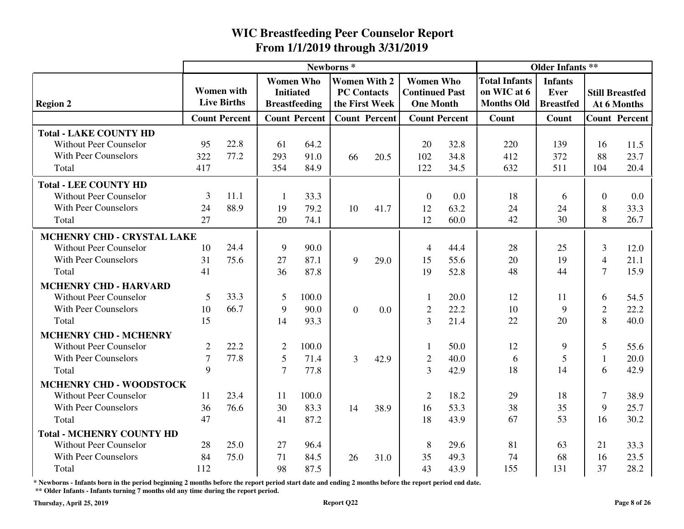|                                  |                |                                         |                  |                                          | Newborns <sup>*</sup> |                                       |                                                               |      |                                                          | <b>Older Infants **</b>                           |                |                                       |
|----------------------------------|----------------|-----------------------------------------|------------------|------------------------------------------|-----------------------|---------------------------------------|---------------------------------------------------------------|------|----------------------------------------------------------|---------------------------------------------------|----------------|---------------------------------------|
| <b>Region 2</b>                  |                | <b>Women</b> with<br><b>Live Births</b> | <b>Initiated</b> | <b>Women Who</b><br><b>Breastfeeding</b> | <b>PC Contacts</b>    | <b>Women With 2</b><br>the First Week | <b>Women Who</b><br><b>Continued Past</b><br><b>One Month</b> |      | <b>Total Infants</b><br>on WIC at 6<br><b>Months Old</b> | <b>Infants</b><br><b>Ever</b><br><b>Breastfed</b> |                | <b>Still Breastfed</b><br>At 6 Months |
|                                  |                | <b>Count Percent</b>                    |                  | <b>Count Percent</b>                     |                       | <b>Count Percent</b>                  | <b>Count Percent</b>                                          |      | <b>Count</b>                                             | Count                                             |                | <b>Count Percent</b>                  |
| <b>Total - LAKE COUNTY HD</b>    |                |                                         |                  |                                          |                       |                                       |                                                               |      |                                                          |                                                   |                |                                       |
| Without Peer Counselor           | 95             | 22.8                                    | 61               | 64.2                                     |                       |                                       | 20                                                            | 32.8 | 220                                                      | 139                                               | 16             | 11.5                                  |
| <b>With Peer Counselors</b>      | 322            | 77.2                                    | 293              | 91.0                                     | 66                    | 20.5                                  | 102                                                           | 34.8 | 412                                                      | 372                                               | 88             | 23.7                                  |
| Total                            | 417            |                                         | 354              | 84.9                                     |                       |                                       | 122                                                           | 34.5 | 632                                                      | 511                                               | 104            | 20.4                                  |
| <b>Total - LEE COUNTY HD</b>     |                |                                         |                  |                                          |                       |                                       |                                                               |      |                                                          |                                                   |                |                                       |
| Without Peer Counselor           | 3              | 11.1                                    | 1                | 33.3                                     |                       |                                       | $\overline{0}$                                                | 0.0  | 18                                                       | 6                                                 | $\Omega$       | 0.0                                   |
| With Peer Counselors             | 24             | 88.9                                    | 19               | 79.2                                     | 10                    | 41.7                                  | 12                                                            | 63.2 | 24                                                       | 24                                                | 8              | 33.3                                  |
| Total                            | 27             |                                         | 20               | 74.1                                     |                       |                                       | 12                                                            | 60.0 | 42                                                       | 30                                                | 8              | 26.7                                  |
| MCHENRY CHD - CRYSTAL LAKE       |                |                                         |                  |                                          |                       |                                       |                                                               |      |                                                          |                                                   |                |                                       |
| <b>Without Peer Counselor</b>    | 10             | 24.4                                    | 9                | 90.0                                     |                       |                                       | 4                                                             | 44.4 | 28                                                       | 25                                                | $\overline{3}$ | 12.0                                  |
| With Peer Counselors             | 31             | 75.6                                    | 27               | 87.1                                     | 9                     | 29.0                                  | 15                                                            | 55.6 | 20                                                       | 19                                                | $\overline{4}$ | 21.1                                  |
| Total                            | 41             |                                         | 36               | 87.8                                     |                       |                                       | 19                                                            | 52.8 | 48                                                       | 44                                                | $\overline{7}$ | 15.9                                  |
| <b>MCHENRY CHD - HARVARD</b>     |                |                                         |                  |                                          |                       |                                       |                                                               |      |                                                          |                                                   |                |                                       |
| <b>Without Peer Counselor</b>    | 5              | 33.3                                    | 5                | 100.0                                    |                       |                                       | -1                                                            | 20.0 | 12                                                       | 11                                                | 6              | 54.5                                  |
| With Peer Counselors             | 10             | 66.7                                    | 9                | 90.0                                     | $\overline{0}$        | 0.0                                   | $\sqrt{2}$                                                    | 22.2 | 10                                                       | 9                                                 | $\sqrt{2}$     | 22.2                                  |
| Total                            | 15             |                                         | 14               | 93.3                                     |                       |                                       | $\overline{3}$                                                | 21.4 | 22                                                       | 20                                                | 8              | 40.0                                  |
| <b>MCHENRY CHD - MCHENRY</b>     |                |                                         |                  |                                          |                       |                                       |                                                               |      |                                                          |                                                   |                |                                       |
| <b>Without Peer Counselor</b>    | $\overline{2}$ | 22.2                                    | $\overline{2}$   | 100.0                                    |                       |                                       | 1                                                             | 50.0 | 12                                                       | 9                                                 | 5              | 55.6                                  |
| With Peer Counselors             | $\overline{7}$ | 77.8                                    | 5                | 71.4                                     | 3                     | 42.9                                  | $\sqrt{2}$                                                    | 40.0 | 6                                                        | 5                                                 | $\mathbf{1}$   | 20.0                                  |
| Total                            | 9              |                                         | $\overline{7}$   | 77.8                                     |                       |                                       | $\overline{3}$                                                | 42.9 | 18                                                       | 14                                                | 6              | 42.9                                  |
| <b>MCHENRY CHD - WOODSTOCK</b>   |                |                                         |                  |                                          |                       |                                       |                                                               |      |                                                          |                                                   |                |                                       |
| Without Peer Counselor           | 11             | 23.4                                    | 11               | 100.0                                    |                       |                                       | $\overline{2}$                                                | 18.2 | 29                                                       | 18                                                | 7              | 38.9                                  |
| <b>With Peer Counselors</b>      | 36             | 76.6                                    | 30               | 83.3                                     | 14                    | 38.9                                  | 16                                                            | 53.3 | 38                                                       | 35                                                | 9              | 25.7                                  |
| Total                            | 47             |                                         | 41               | 87.2                                     |                       |                                       | 18                                                            | 43.9 | 67                                                       | 53                                                | 16             | 30.2                                  |
| <b>Total - MCHENRY COUNTY HD</b> |                |                                         |                  |                                          |                       |                                       |                                                               |      |                                                          |                                                   |                |                                       |
| Without Peer Counselor           | 28             | 25.0                                    | 27               | 96.4                                     |                       |                                       | 8                                                             | 29.6 | 81                                                       | 63                                                | 21             | 33.3                                  |
| With Peer Counselors             | 84             | 75.0                                    | 71               | 84.5                                     | 26                    | 31.0                                  | 35                                                            | 49.3 | 74                                                       | 68                                                | 16             | 23.5                                  |
| Total                            | 112            |                                         | 98               | 87.5                                     |                       |                                       | 43                                                            | 43.9 | 155                                                      | 131                                               | 37             | 28.2                                  |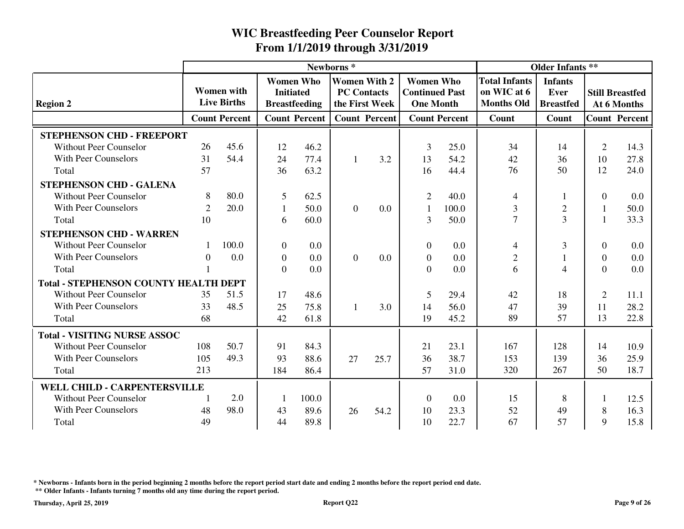|                                              |                |                                         |                  |                                          | Newborns <sup>*</sup> |                                       |                                                               |                      |                                                          | <b>Older Infants **</b>                    |                |                                       |
|----------------------------------------------|----------------|-----------------------------------------|------------------|------------------------------------------|-----------------------|---------------------------------------|---------------------------------------------------------------|----------------------|----------------------------------------------------------|--------------------------------------------|----------------|---------------------------------------|
| <b>Region 2</b>                              |                | <b>Women</b> with<br><b>Live Births</b> | <b>Initiated</b> | <b>Women Who</b><br><b>Breastfeeding</b> | <b>PC Contacts</b>    | <b>Women With 2</b><br>the First Week | <b>Women Who</b><br><b>Continued Past</b><br><b>One Month</b> |                      | <b>Total Infants</b><br>on WIC at 6<br><b>Months Old</b> | <b>Infants</b><br>Ever<br><b>Breastfed</b> |                | <b>Still Breastfed</b><br>At 6 Months |
|                                              |                | <b>Count Percent</b>                    |                  | <b>Count Percent</b>                     |                       | <b>Count Percent</b>                  |                                                               | <b>Count Percent</b> | Count                                                    | Count                                      |                | <b>Count Percent</b>                  |
| <b>STEPHENSON CHD - FREEPORT</b>             |                |                                         |                  |                                          |                       |                                       |                                                               |                      |                                                          |                                            |                |                                       |
| <b>Without Peer Counselor</b>                | 26             | 45.6                                    | 12               | 46.2                                     |                       |                                       | 3                                                             | 25.0                 | 34                                                       | 14                                         | $\overline{2}$ | 14.3                                  |
| <b>With Peer Counselors</b>                  | 31             | 54.4                                    | 24               | 77.4                                     | 1                     | 3.2                                   | 13                                                            | 54.2                 | 42                                                       | 36                                         | 10             | 27.8                                  |
| Total                                        | 57             |                                         | 36               | 63.2                                     |                       |                                       | 16                                                            | 44.4                 | 76                                                       | 50                                         | 12             | 24.0                                  |
| <b>STEPHENSON CHD - GALENA</b>               |                |                                         |                  |                                          |                       |                                       |                                                               |                      |                                                          |                                            |                |                                       |
| <b>Without Peer Counselor</b>                | 8              | 80.0                                    | 5                | 62.5                                     |                       |                                       | $\overline{2}$                                                | 40.0                 | $\overline{4}$                                           | 1                                          | $\Omega$       | 0.0                                   |
| <b>With Peer Counselors</b>                  | $\overline{2}$ | 20.0                                    | $\mathbf{1}$     | 50.0                                     | $\theta$              | 0.0                                   |                                                               | 100.0                | $\overline{\mathbf{3}}$                                  | $\overline{c}$                             |                | 50.0                                  |
| Total                                        | 10             |                                         | 6                | 60.0                                     |                       |                                       | 3                                                             | 50.0                 | $\overline{7}$                                           | 3                                          |                | 33.3                                  |
| <b>STEPHENSON CHD - WARREN</b>               |                |                                         |                  |                                          |                       |                                       |                                                               |                      |                                                          |                                            |                |                                       |
| <b>Without Peer Counselor</b>                | 1              | 100.0                                   | $\overline{0}$   | 0.0                                      |                       |                                       | $\Omega$                                                      | 0.0                  | $\overline{4}$                                           | 3                                          | $\Omega$       | 0.0                                   |
| <b>With Peer Counselors</b>                  | $\Omega$       | 0.0                                     | $\boldsymbol{0}$ | 0.0                                      | $\overline{0}$        | 0.0                                   | $\overline{0}$                                                | 0.0                  | $\overline{2}$                                           | 1                                          | $\Omega$       | 0.0                                   |
| Total                                        |                |                                         | $\overline{0}$   | 0.0                                      |                       |                                       | $\Omega$                                                      | 0.0                  | 6                                                        | $\overline{4}$                             | $\Omega$       | 0.0                                   |
| <b>Total - STEPHENSON COUNTY HEALTH DEPT</b> |                |                                         |                  |                                          |                       |                                       |                                                               |                      |                                                          |                                            |                |                                       |
| <b>Without Peer Counselor</b>                | 35             | 51.5                                    | 17               | 48.6                                     |                       |                                       | 5                                                             | 29.4                 | 42                                                       | 18                                         | $\overline{2}$ | 11.1                                  |
| <b>With Peer Counselors</b>                  | 33             | 48.5                                    | 25               | 75.8                                     | $\mathbf{1}$          | 3.0                                   | 14                                                            | 56.0                 | 47                                                       | 39                                         | 11             | 28.2                                  |
| Total                                        | 68             |                                         | 42               | 61.8                                     |                       |                                       | 19                                                            | 45.2                 | 89                                                       | 57                                         | 13             | 22.8                                  |
| <b>Total - VISITING NURSE ASSOC</b>          |                |                                         |                  |                                          |                       |                                       |                                                               |                      |                                                          |                                            |                |                                       |
| <b>Without Peer Counselor</b>                | 108            | 50.7                                    | 91               | 84.3                                     |                       |                                       | 21                                                            | 23.1                 | 167                                                      | 128                                        | 14             | 10.9                                  |
| <b>With Peer Counselors</b>                  | 105            | 49.3                                    | 93               | 88.6                                     | 27                    | 25.7                                  | 36                                                            | 38.7                 | 153                                                      | 139                                        | 36             | 25.9                                  |
| Total                                        | 213            |                                         | 184              | 86.4                                     |                       |                                       | 57                                                            | 31.0                 | 320                                                      | 267                                        | 50             | 18.7                                  |
| <b>WELL CHILD - CARPENTERSVILLE</b>          |                |                                         |                  |                                          |                       |                                       |                                                               |                      |                                                          |                                            |                |                                       |
| <b>Without Peer Counselor</b>                |                | 2.0                                     | $\mathbf{1}$     | 100.0                                    |                       |                                       | $\theta$                                                      | 0.0                  | 15                                                       | 8                                          |                | 12.5                                  |
| <b>With Peer Counselors</b>                  | 48             | 98.0                                    | 43               | 89.6                                     | 26                    | 54.2                                  | 10                                                            | 23.3                 | 52                                                       | 49                                         | 8              | 16.3                                  |
| Total                                        | 49             |                                         | 44               | 89.8                                     |                       |                                       | 10                                                            | 22.7                 | 67                                                       | 57                                         | 9              | 15.8                                  |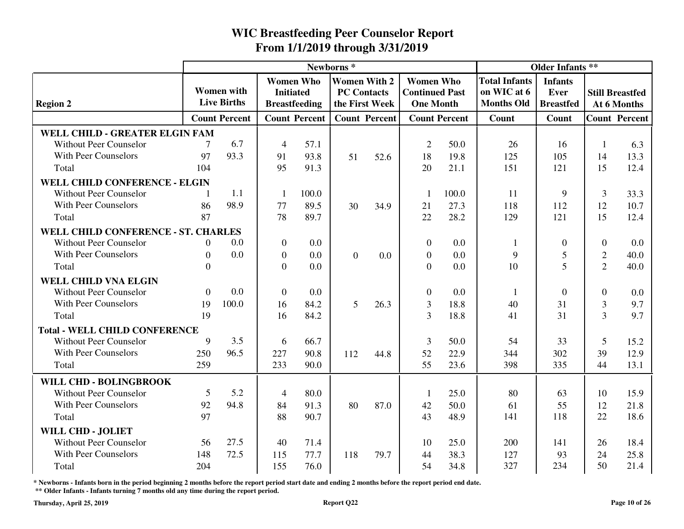|                                            |          |                      |                |                                      | Newborns <sup>*</sup> |                                           |                                           |                      |                                     | <b>Older Infants **</b>       |                |                        |
|--------------------------------------------|----------|----------------------|----------------|--------------------------------------|-----------------------|-------------------------------------------|-------------------------------------------|----------------------|-------------------------------------|-------------------------------|----------------|------------------------|
|                                            |          | <b>Women</b> with    |                | <b>Women Who</b><br><b>Initiated</b> |                       | <b>Women With 2</b><br><b>PC Contacts</b> | <b>Women Who</b><br><b>Continued Past</b> |                      | <b>Total Infants</b><br>on WIC at 6 | <b>Infants</b><br><b>Ever</b> |                | <b>Still Breastfed</b> |
| <b>Region 2</b>                            |          | <b>Live Births</b>   |                | <b>Breastfeeding</b>                 |                       | the First Week                            | <b>One Month</b>                          |                      | <b>Months Old</b>                   | <b>Breastfed</b>              |                | At 6 Months            |
|                                            |          | <b>Count Percent</b> |                | <b>Count Percent</b>                 |                       | <b>Count Percent</b>                      |                                           | <b>Count Percent</b> | <b>Count</b>                        | Count                         |                | <b>Count Percent</b>   |
| WELL CHILD - GREATER ELGIN FAM             |          |                      |                |                                      |                       |                                           |                                           |                      |                                     |                               |                |                        |
| <b>Without Peer Counselor</b>              |          | 6.7                  | 4              | 57.1                                 |                       |                                           | 2                                         | 50.0                 | 26                                  | 16                            | 1              | 6.3                    |
| <b>With Peer Counselors</b>                | 97       | 93.3                 | 91             | 93.8                                 | 51                    | 52.6                                      | 18                                        | 19.8                 | 125                                 | 105                           | 14             | 13.3                   |
| Total                                      | 104      |                      | 95             | 91.3                                 |                       |                                           | 20                                        | 21.1                 | 151                                 | 121                           | 15             | 12.4                   |
| <b>WELL CHILD CONFERENCE - ELGIN</b>       |          |                      |                |                                      |                       |                                           |                                           |                      |                                     |                               |                |                        |
| Without Peer Counselor                     |          | 1.1                  | $\mathbf{1}$   | 100.0                                |                       |                                           | -1                                        | 100.0                | 11                                  | 9                             | 3              | 33.3                   |
| <b>With Peer Counselors</b>                | 86       | 98.9                 | 77             | 89.5                                 | 30                    | 34.9                                      | 21                                        | 27.3                 | 118                                 | 112                           | 12             | 10.7                   |
| Total                                      | 87       |                      | 78             | 89.7                                 |                       |                                           | 22                                        | 28.2                 | 129                                 | 121                           | 15             | 12.4                   |
| <b>WELL CHILD CONFERENCE - ST. CHARLES</b> |          |                      |                |                                      |                       |                                           |                                           |                      |                                     |                               |                |                        |
| <b>Without Peer Counselor</b>              | $\Omega$ | 0.0                  | $\overline{0}$ | 0.0                                  |                       |                                           | $\overline{0}$                            | 0.0                  | 1                                   | $\overline{0}$                | $\theta$       | 0.0                    |
| With Peer Counselors                       | $\theta$ | 0.0                  | $\overline{0}$ | 0.0                                  | $\theta$              | 0.0                                       | $\overline{0}$                            | 0.0                  | 9                                   | $\mathfrak{S}$                | $\overline{c}$ | 40.0                   |
| Total                                      | $\Omega$ |                      | $\theta$       | 0.0                                  |                       |                                           | $\Omega$                                  | 0.0                  | 10                                  | 5                             | $\overline{2}$ | 40.0                   |
| <b>WELL CHILD VNA ELGIN</b>                |          |                      |                |                                      |                       |                                           |                                           |                      |                                     |                               |                |                        |
| <b>Without Peer Counselor</b>              | $\theta$ | 0.0                  | $\mathbf{0}$   | 0.0                                  |                       |                                           | $\mathbf{0}$                              | 0.0                  | 1                                   | $\overline{0}$                | $\theta$       | 0.0                    |
| <b>With Peer Counselors</b>                | 19       | 100.0                | 16             | 84.2                                 | $\overline{5}$        | 26.3                                      | $\mathfrak{Z}$                            | 18.8                 | 40                                  | 31                            | 3              | 9.7                    |
| Total                                      | 19       |                      | 16             | 84.2                                 |                       |                                           | $\overline{3}$                            | 18.8                 | 41                                  | 31                            | $\overline{3}$ | 9.7                    |
| <b>Total - WELL CHILD CONFERENCE</b>       |          |                      |                |                                      |                       |                                           |                                           |                      |                                     |                               |                |                        |
| Without Peer Counselor                     | 9        | 3.5                  | 6              | 66.7                                 |                       |                                           | 3                                         | 50.0                 | 54                                  | 33                            | 5              | 15.2                   |
| <b>With Peer Counselors</b>                | 250      | 96.5                 | 227            | 90.8                                 | 112                   | 44.8                                      | 52                                        | 22.9                 | 344                                 | 302                           | 39             | 12.9                   |
| Total                                      | 259      |                      | 233            | 90.0                                 |                       |                                           | 55                                        | 23.6                 | 398                                 | 335                           | 44             | 13.1                   |
| WILL CHD - BOLINGBROOK                     |          |                      |                |                                      |                       |                                           |                                           |                      |                                     |                               |                |                        |
| <b>Without Peer Counselor</b>              | 5        | 5.2                  | 4              | 80.0                                 |                       |                                           | -1                                        | 25.0                 | 80                                  | 63                            | 10             | 15.9                   |
| <b>With Peer Counselors</b>                | 92       | 94.8                 | 84             | 91.3                                 | 80                    | 87.0                                      | 42                                        | 50.0                 | 61                                  | 55                            | 12             | 21.8                   |
| Total                                      | 97       |                      | 88             | 90.7                                 |                       |                                           | 43                                        | 48.9                 | 141                                 | 118                           | 22             | 18.6                   |
| WILL CHD - JOLIET                          |          |                      |                |                                      |                       |                                           |                                           |                      |                                     |                               |                |                        |
| <b>Without Peer Counselor</b>              | 56       | 27.5                 | 40             | 71.4                                 |                       |                                           | 10                                        | 25.0                 | 200                                 | 141                           | 26             | 18.4                   |
| <b>With Peer Counselors</b>                | 148      | 72.5                 | 115            | 77.7                                 | 118                   | 79.7                                      | 44                                        | 38.3                 | 127                                 | 93                            | 24             | 25.8                   |
| Total                                      | 204      |                      | 155            | 76.0                                 |                       |                                           | 54                                        | 34.8                 | 327                                 | 234                           | 50             | 21.4                   |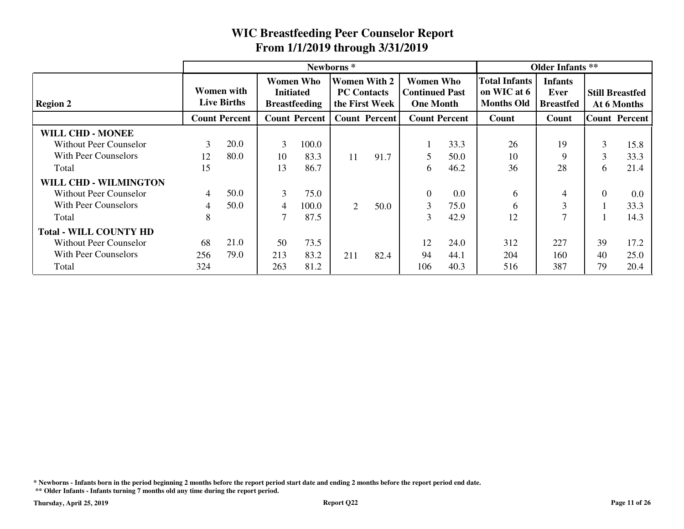|                               |     |                                  |     |                                                       | Newborns <sup>*</sup> |                                                             |                                                               |                      |                                                          | <b>Older Infants **</b>                           |    |                                       |
|-------------------------------|-----|----------------------------------|-----|-------------------------------------------------------|-----------------------|-------------------------------------------------------------|---------------------------------------------------------------|----------------------|----------------------------------------------------------|---------------------------------------------------|----|---------------------------------------|
| <b>Region 2</b>               |     | Women with<br><b>Live Births</b> |     | Women Who<br><b>Initiated</b><br><b>Breastfeeding</b> |                       | <b>Women With 2</b><br><b>PC Contacts</b><br>the First Week | <b>Women Who</b><br><b>Continued Past</b><br><b>One Month</b> |                      | <b>Total Infants</b><br>on WIC at 6<br><b>Months Old</b> | <b>Infants</b><br><b>Ever</b><br><b>Breastfed</b> |    | <b>Still Breastfed</b><br>At 6 Months |
|                               |     | <b>Count Percent</b>             |     | <b>Count Percent</b>                                  |                       | <b>Count Percent</b>                                        |                                                               | <b>Count Percent</b> | Count                                                    | Count                                             |    | Count Percent                         |
| <b>WILL CHD - MONEE</b>       |     |                                  |     |                                                       |                       |                                                             |                                                               |                      |                                                          |                                                   |    |                                       |
| <b>Without Peer Counselor</b> | 3   | 20.0                             | 3   | 100.0                                                 |                       |                                                             |                                                               | 33.3                 | 26                                                       | 19                                                | 3  | 15.8                                  |
| <b>With Peer Counselors</b>   | 12  | 80.0                             | 10  | 83.3                                                  | 11                    | 91.7                                                        |                                                               | 50.0                 | 10                                                       | 9                                                 | 3  | 33.3                                  |
| Total                         | 15  |                                  | 13  | 86.7                                                  |                       |                                                             | 6                                                             | 46.2                 | 36                                                       | 28                                                | 6  | 21.4                                  |
| <b>WILL CHD - WILMINGTON</b>  |     |                                  |     |                                                       |                       |                                                             |                                                               |                      |                                                          |                                                   |    |                                       |
| Without Peer Counselor        | 4   | 50.0                             | 3   | 75.0                                                  |                       |                                                             | $\overline{0}$                                                | 0.0                  | 6                                                        | 4                                                 |    | 0.0                                   |
| <b>With Peer Counselors</b>   | 4   | 50.0                             | 4   | 100.0                                                 | $\overline{2}$        | 50.0                                                        | $\mathfrak{Z}$                                                | 75.0                 | 6                                                        | 3                                                 |    | 33.3                                  |
| Total                         | 8   |                                  | 7   | 87.5                                                  |                       |                                                             | 3                                                             | 42.9                 | 12                                                       | $\mathcal{I}$                                     |    | 14.3                                  |
| <b>Total - WILL COUNTY HD</b> |     |                                  |     |                                                       |                       |                                                             |                                                               |                      |                                                          |                                                   |    |                                       |
| <b>Without Peer Counselor</b> | 68  | 21.0                             | 50  | 73.5                                                  |                       |                                                             | 12                                                            | 24.0                 | 312                                                      | 227                                               | 39 | 17.2                                  |
| With Peer Counselors          | 256 | 79.0                             | 213 | 83.2                                                  | 211                   | 82.4                                                        | 94                                                            | 44.1                 | 204                                                      | 160                                               | 40 | 25.0                                  |
| Total                         | 324 |                                  | 263 | 81.2                                                  |                       |                                                             | 106                                                           | 40.3                 | 516                                                      | 387                                               | 79 | 20.4                                  |

**\* Newborns - Infants born in the period beginning 2 months before the report period start date and ending 2 months before the report period end date.**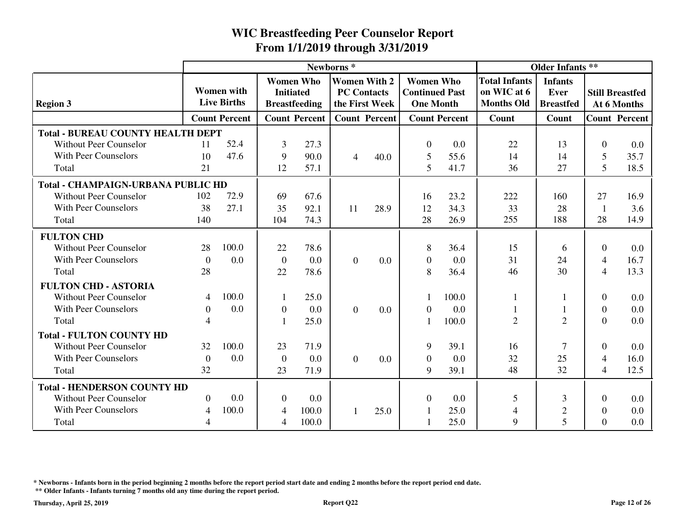|                                           |                |                                         |                  |                                          | Newborns <sup>*</sup>                     |                      |                                                               |                      |                                                          | <b>Older Infants **</b>                    |                |                                       |
|-------------------------------------------|----------------|-----------------------------------------|------------------|------------------------------------------|-------------------------------------------|----------------------|---------------------------------------------------------------|----------------------|----------------------------------------------------------|--------------------------------------------|----------------|---------------------------------------|
| <b>Region 3</b>                           |                | <b>Women</b> with<br><b>Live Births</b> | <b>Initiated</b> | <b>Women Who</b><br><b>Breastfeeding</b> | <b>Women With 2</b><br><b>PC Contacts</b> | the First Week       | <b>Women Who</b><br><b>Continued Past</b><br><b>One Month</b> |                      | <b>Total Infants</b><br>on WIC at 6<br><b>Months Old</b> | <b>Infants</b><br>Ever<br><b>Breastfed</b> |                | <b>Still Breastfed</b><br>At 6 Months |
|                                           |                | <b>Count Percent</b>                    |                  | <b>Count Percent</b>                     |                                           | <b>Count Percent</b> |                                                               | <b>Count Percent</b> | Count                                                    | Count                                      |                | <b>Count Percent</b>                  |
| <b>Total - BUREAU COUNTY HEALTH DEPT</b>  |                |                                         |                  |                                          |                                           |                      |                                                               |                      |                                                          |                                            |                |                                       |
| <b>Without Peer Counselor</b>             | 11             | 52.4                                    | $\overline{3}$   | 27.3                                     |                                           |                      | $\theta$                                                      | 0.0                  | 22                                                       | 13                                         | $\Omega$       | 0.0                                   |
| <b>With Peer Counselors</b>               | 10             | 47.6                                    | 9                | 90.0                                     | $\overline{4}$                            | 40.0                 | 5                                                             | 55.6                 | 14                                                       | 14                                         | 5              | 35.7                                  |
| Total                                     | 21             |                                         | 12               | 57.1                                     |                                           |                      | 5                                                             | 41.7                 | 36                                                       | 27                                         | 5              | 18.5                                  |
| <b>Total - CHAMPAIGN-URBANA PUBLIC HD</b> |                |                                         |                  |                                          |                                           |                      |                                                               |                      |                                                          |                                            |                |                                       |
| <b>Without Peer Counselor</b>             | 102            | 72.9                                    | 69               | 67.6                                     |                                           |                      | 16                                                            | 23.2                 | 222                                                      | 160                                        | 27             | 16.9                                  |
| <b>With Peer Counselors</b>               | 38             | 27.1                                    | 35               | 92.1                                     | 11                                        | 28.9                 | 12                                                            | 34.3                 | 33                                                       | 28                                         | 1              | 3.6                                   |
| Total                                     | 140            |                                         | 104              | 74.3                                     |                                           |                      | 28                                                            | 26.9                 | 255                                                      | 188                                        | 28             | 14.9                                  |
| <b>FULTON CHD</b>                         |                |                                         |                  |                                          |                                           |                      |                                                               |                      |                                                          |                                            |                |                                       |
| <b>Without Peer Counselor</b>             | 28             | 100.0                                   | 22               | 78.6                                     |                                           |                      | 8                                                             | 36.4                 | 15                                                       | 6                                          | $\theta$       | 0.0                                   |
| <b>With Peer Counselors</b>               | $\Omega$       | 0.0                                     | $\overline{0}$   | 0.0                                      | $\Omega$                                  | 0.0                  | $\theta$                                                      | 0.0                  | 31                                                       | 24                                         | $\overline{4}$ | 16.7                                  |
| Total                                     | 28             |                                         | 22               | 78.6                                     |                                           |                      | 8                                                             | 36.4                 | 46                                                       | 30                                         | $\overline{4}$ | 13.3                                  |
| <b>FULTON CHD - ASTORIA</b>               |                |                                         |                  |                                          |                                           |                      |                                                               |                      |                                                          |                                            |                |                                       |
| <b>Without Peer Counselor</b>             | 4              | 100.0                                   | 1                | 25.0                                     |                                           |                      |                                                               | 100.0                | $\mathbf{1}$                                             | 1                                          | $\Omega$       | 0.0                                   |
| <b>With Peer Counselors</b>               | $\Omega$       | 0.0                                     | $\overline{0}$   | 0.0                                      | $\Omega$                                  | 0.0                  | $\Omega$                                                      | 0.0                  |                                                          |                                            | $\Omega$       | 0.0                                   |
| Total                                     | $\overline{4}$ |                                         |                  | 25.0                                     |                                           |                      |                                                               | 100.0                | $\overline{2}$                                           | $\overline{2}$                             | $\Omega$       | 0.0                                   |
| <b>Total - FULTON COUNTY HD</b>           |                |                                         |                  |                                          |                                           |                      |                                                               |                      |                                                          |                                            |                |                                       |
| <b>Without Peer Counselor</b>             | 32             | 100.0                                   | 23               | 71.9                                     |                                           |                      | 9                                                             | 39.1                 | 16                                                       | $\tau$                                     | $\Omega$       | 0.0                                   |
| <b>With Peer Counselors</b>               | $\Omega$       | 0.0                                     | $\overline{0}$   | 0.0                                      | $\Omega$                                  | 0.0                  | $\theta$                                                      | 0.0                  | 32                                                       | 25                                         | $\overline{4}$ | 16.0                                  |
| Total                                     | 32             |                                         | 23               | 71.9                                     |                                           |                      | 9                                                             | 39.1                 | 48                                                       | 32                                         | $\overline{4}$ | 12.5                                  |
| <b>Total - HENDERSON COUNTY HD</b>        |                |                                         |                  |                                          |                                           |                      |                                                               |                      |                                                          |                                            |                |                                       |
| <b>Without Peer Counselor</b>             | $\Omega$       | 0.0                                     | $\overline{0}$   | 0.0                                      |                                           |                      | $\Omega$                                                      | 0.0                  | 5                                                        | 3                                          | $\Omega$       | 0.0                                   |
| <b>With Peer Counselors</b>               | 4              | 100.0                                   | 4                | 100.0                                    | $\mathbf{1}$                              | 25.0                 |                                                               | 25.0                 | $\overline{4}$                                           | $\sqrt{2}$                                 | $\Omega$       | 0.0                                   |
| Total                                     | $\overline{4}$ |                                         | 4                | 100.0                                    |                                           |                      |                                                               | 25.0                 | 9                                                        | 5                                          | $\Omega$       | 0.0                                   |

**\* Newborns - Infants born in the period beginning 2 months before the report period start date and ending 2 months before the report period end date.**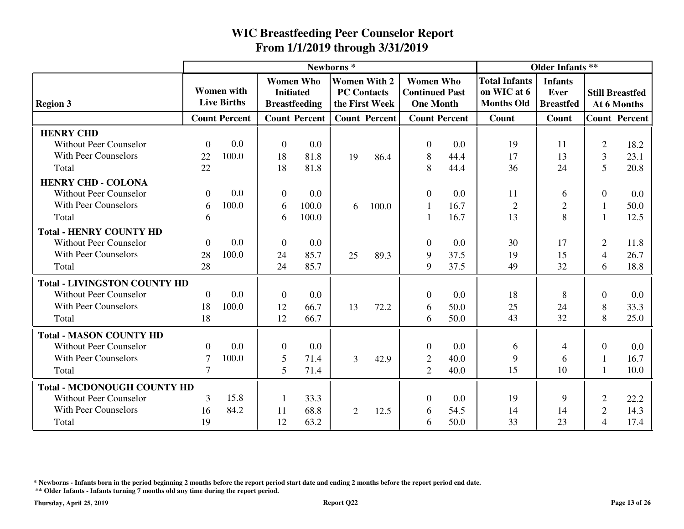|                                     |          |                                         |                  |                                          | Newborns <sup>*</sup>                     |                      |                                                               |      |                                                          | <b>Older Infants **</b>                    |                |                                       |
|-------------------------------------|----------|-----------------------------------------|------------------|------------------------------------------|-------------------------------------------|----------------------|---------------------------------------------------------------|------|----------------------------------------------------------|--------------------------------------------|----------------|---------------------------------------|
| <b>Region 3</b>                     |          | <b>Women</b> with<br><b>Live Births</b> | <b>Initiated</b> | <b>Women Who</b><br><b>Breastfeeding</b> | <b>Women With 2</b><br><b>PC Contacts</b> | the First Week       | <b>Women Who</b><br><b>Continued Past</b><br><b>One Month</b> |      | <b>Total Infants</b><br>on WIC at 6<br><b>Months Old</b> | <b>Infants</b><br>Ever<br><b>Breastfed</b> |                | <b>Still Breastfed</b><br>At 6 Months |
|                                     |          | <b>Count Percent</b>                    |                  | <b>Count Percent</b>                     |                                           | <b>Count Percent</b> | <b>Count Percent</b>                                          |      | Count                                                    | Count                                      |                | <b>Count Percent</b>                  |
| <b>HENRY CHD</b>                    |          |                                         |                  |                                          |                                           |                      |                                                               |      |                                                          |                                            |                |                                       |
| <b>Without Peer Counselor</b>       | $\Omega$ | 0.0                                     | $\overline{0}$   | 0.0                                      |                                           |                      | $\theta$                                                      | 0.0  | 19                                                       | 11                                         | $\overline{2}$ | 18.2                                  |
| <b>With Peer Counselors</b>         | 22       | 100.0                                   | 18               | 81.8                                     | 19                                        | 86.4                 | 8                                                             | 44.4 | 17                                                       | 13                                         | 3              | 23.1                                  |
| Total                               | 22       |                                         | 18               | 81.8                                     |                                           |                      | 8                                                             | 44.4 | 36                                                       | 24                                         | 5              | 20.8                                  |
| <b>HENRY CHD - COLONA</b>           |          |                                         |                  |                                          |                                           |                      |                                                               |      |                                                          |                                            |                |                                       |
| <b>Without Peer Counselor</b>       | $\Omega$ | 0.0                                     | $\mathbf{0}$     | 0.0                                      |                                           |                      | $\Omega$                                                      | 0.0  | 11                                                       | 6                                          | $\Omega$       | 0.0                                   |
| <b>With Peer Counselors</b>         | 6        | 100.0                                   | 6                | 100.0                                    | 6                                         | 100.0                | $\mathbf{1}$                                                  | 16.7 | $\overline{2}$                                           | $\overline{2}$                             |                | 50.0                                  |
| Total                               | 6        |                                         | 6                | 100.0                                    |                                           |                      |                                                               | 16.7 | 13                                                       | 8                                          |                | 12.5                                  |
| <b>Total - HENRY COUNTY HD</b>      |          |                                         |                  |                                          |                                           |                      |                                                               |      |                                                          |                                            |                |                                       |
| <b>Without Peer Counselor</b>       | $\Omega$ | 0.0                                     | $\boldsymbol{0}$ | 0.0                                      |                                           |                      | $\Omega$                                                      | 0.0  | 30                                                       | 17                                         | $\overline{2}$ | 11.8                                  |
| <b>With Peer Counselors</b>         | 28       | 100.0                                   | 24               | 85.7                                     | 25                                        | 89.3                 | 9                                                             | 37.5 | 19                                                       | 15                                         | $\overline{4}$ | 26.7                                  |
| Total                               | 28       |                                         | 24               | 85.7                                     |                                           |                      | 9                                                             | 37.5 | 49                                                       | 32                                         | 6              | 18.8                                  |
| <b>Total - LIVINGSTON COUNTY HD</b> |          |                                         |                  |                                          |                                           |                      |                                                               |      |                                                          |                                            |                |                                       |
| <b>Without Peer Counselor</b>       | $\Omega$ | 0.0                                     | $\theta$         | 0.0                                      |                                           |                      | 0                                                             | 0.0  | 18                                                       | 8                                          | $\Omega$       | 0.0                                   |
| <b>With Peer Counselors</b>         | 18       | 100.0                                   | 12               | 66.7                                     | 13                                        | 72.2                 | 6                                                             | 50.0 | 25                                                       | 24                                         | 8              | 33.3                                  |
| Total                               | 18       |                                         | 12               | 66.7                                     |                                           |                      | 6                                                             | 50.0 | 43                                                       | 32                                         | 8              | 25.0                                  |
| <b>Total - MASON COUNTY HD</b>      |          |                                         |                  |                                          |                                           |                      |                                                               |      |                                                          |                                            |                |                                       |
| <b>Without Peer Counselor</b>       | $\Omega$ | 0.0                                     | $\boldsymbol{0}$ | 0.0                                      |                                           |                      | $\Omega$                                                      | 0.0  | 6                                                        | 4                                          | $\Omega$       | 0.0                                   |
| <b>With Peer Counselors</b>         | 7        | 100.0                                   | 5                | 71.4                                     | 3                                         | 42.9                 | $\overline{2}$                                                | 40.0 | 9                                                        | 6                                          |                | 16.7                                  |
| Total                               | $\tau$   |                                         | 5                | 71.4                                     |                                           |                      | $\overline{2}$                                                | 40.0 | 15                                                       | 10                                         | $\mathbf{1}$   | 10.0                                  |
| <b>Total - MCDONOUGH COUNTY HD</b>  |          |                                         |                  |                                          |                                           |                      |                                                               |      |                                                          |                                            |                |                                       |
| <b>Without Peer Counselor</b>       | 3        | 15.8                                    | 1                | 33.3                                     |                                           |                      | 0                                                             | 0.0  | 19                                                       | 9                                          | $\overline{2}$ | 22.2                                  |
| <b>With Peer Counselors</b>         | 16       | 84.2                                    | 11               | 68.8                                     | 2                                         | 12.5                 | 6                                                             | 54.5 | 14                                                       | 14                                         | $\mathbf{2}$   | 14.3                                  |
| Total                               | 19       |                                         | 12               | 63.2                                     |                                           |                      | 6                                                             | 50.0 | 33                                                       | 23                                         | $\overline{4}$ | 17.4                                  |

**\* Newborns - Infants born in the period beginning 2 months before the report period start date and ending 2 months before the report period end date.**

 **\*\* Older Infants - Infants turning 7 months old any time during the report period.**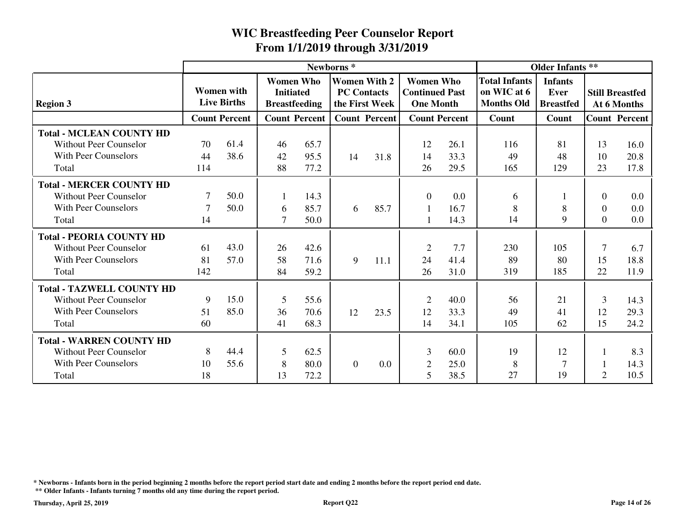|                                                                                                           |                           |                                         |                                                              |                      | Newborns <sup>*</sup> |                                                             |                                                               |                      |                                                          | <b>Older Infants **</b>                    |                                  |                                       |
|-----------------------------------------------------------------------------------------------------------|---------------------------|-----------------------------------------|--------------------------------------------------------------|----------------------|-----------------------|-------------------------------------------------------------|---------------------------------------------------------------|----------------------|----------------------------------------------------------|--------------------------------------------|----------------------------------|---------------------------------------|
| <b>Region 3</b>                                                                                           |                           | <b>Women</b> with<br><b>Live Births</b> | <b>Women Who</b><br><b>Initiated</b><br><b>Breastfeeding</b> |                      |                       | <b>Women With 2</b><br><b>PC Contacts</b><br>the First Week | <b>Women Who</b><br><b>Continued Past</b><br><b>One Month</b> |                      | <b>Total Infants</b><br>on WIC at 6<br><b>Months Old</b> | <b>Infants</b><br>Ever<br><b>Breastfed</b> |                                  | <b>Still Breastfed</b><br>At 6 Months |
|                                                                                                           |                           | <b>Count Percent</b>                    |                                                              | <b>Count Percent</b> |                       | <b>Count Percent</b>                                        |                                                               | <b>Count Percent</b> | Count                                                    | Count                                      |                                  | <b>Count Percent</b>                  |
| <b>Total - MCLEAN COUNTY HD</b><br><b>Without Peer Counselor</b><br><b>With Peer Counselors</b>           | 70<br>44                  | 61.4<br>38.6                            | 46<br>42                                                     | 65.7<br>95.5         | 14                    | 31.8                                                        | 12<br>14                                                      | 26.1<br>33.3         | 116<br>49                                                | 81<br>48                                   | 13<br>10                         | 16.0<br>20.8                          |
| Total                                                                                                     | 114                       |                                         | 88                                                           | 77.2                 |                       |                                                             | 26                                                            | 29.5                 | 165                                                      | 129                                        | 23                               | 17.8                                  |
| <b>Total - MERCER COUNTY HD</b><br><b>Without Peer Counselor</b><br><b>With Peer Counselors</b><br>Total  | 7<br>$\overline{7}$<br>14 | 50.0<br>50.0                            | 6<br>7                                                       | 14.3<br>85.7<br>50.0 | 6                     | 85.7                                                        | $\theta$                                                      | 0.0<br>16.7<br>14.3  | 6<br>8<br>14                                             | 8<br>9                                     | $\Omega$<br>$\Omega$<br>$\Omega$ | 0.0<br>0.0<br>0.0                     |
| <b>Total - PEORIA COUNTY HD</b><br><b>Without Peer Counselor</b><br><b>With Peer Counselors</b><br>Total  | 61<br>81<br>142           | 43.0<br>57.0                            | 26<br>58<br>84                                               | 42.6<br>71.6<br>59.2 | 9                     | 11.1                                                        | $\overline{2}$<br>24<br>26                                    | 7.7<br>41.4<br>31.0  | 230<br>89<br>319                                         | 105<br>80<br>185                           | 7<br>15<br>22                    | 6.7<br>18.8<br>11.9                   |
| <b>Total - TAZWELL COUNTY HD</b><br><b>Without Peer Counselor</b><br><b>With Peer Counselors</b><br>Total | 9<br>51<br>60             | 15.0<br>85.0                            | 5<br>36<br>41                                                | 55.6<br>70.6<br>68.3 | 12                    | 23.5                                                        | $\overline{2}$<br>12<br>14                                    | 40.0<br>33.3<br>34.1 | 56<br>49<br>105                                          | 21<br>41<br>62                             | 3<br>12<br>15                    | 14.3<br>29.3<br>24.2                  |
| <b>Total - WARREN COUNTY HD</b><br><b>Without Peer Counselor</b><br><b>With Peer Counselors</b><br>Total  | 8<br>10<br>18             | 44.4<br>55.6                            | 5<br>8<br>13                                                 | 62.5<br>80.0<br>72.2 | $\Omega$              | 0.0                                                         | 3<br>$\overline{2}$<br>5                                      | 60.0<br>25.0<br>38.5 | 19<br>8<br>27                                            | 12<br>$\overline{7}$<br>19                 | $\overline{2}$                   | 8.3<br>14.3<br>10.5                   |

**\* Newborns - Infants born in the period beginning 2 months before the report period start date and ending 2 months before the report period end date.**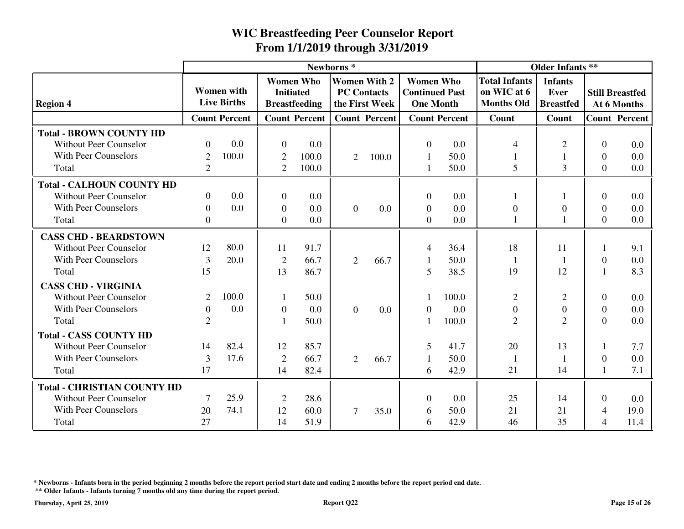|                                    |                | Newborns*                               |                  |                                          |                                           |                      |                                                               |                      |                                                          | <b>Older Infants **</b>                    |                          |                                       |
|------------------------------------|----------------|-----------------------------------------|------------------|------------------------------------------|-------------------------------------------|----------------------|---------------------------------------------------------------|----------------------|----------------------------------------------------------|--------------------------------------------|--------------------------|---------------------------------------|
| <b>Region 4</b>                    |                | <b>Women</b> with<br><b>Live Births</b> | <b>Initiated</b> | <b>Women Who</b><br><b>Breastfeeding</b> | <b>Women With 2</b><br><b>PC Contacts</b> | the First Week       | <b>Women Who</b><br><b>Continued Past</b><br><b>One Month</b> |                      | <b>Total Infants</b><br>on WIC at 6<br><b>Months Old</b> | <b>Infants</b><br>Ever<br><b>Breastfed</b> |                          | <b>Still Breastfed</b><br>At 6 Months |
|                                    |                | <b>Count Percent</b>                    |                  | <b>Count Percent</b>                     |                                           | <b>Count Percent</b> |                                                               | <b>Count Percent</b> | Count                                                    | Count                                      |                          | <b>Count Percent</b>                  |
| <b>Total - BROWN COUNTY HD</b>     |                |                                         |                  |                                          |                                           |                      |                                                               |                      |                                                          |                                            |                          |                                       |
| <b>Without Peer Counselor</b>      | $\Omega$       | 0.0                                     | $\overline{0}$   | 0.0                                      |                                           |                      | $\Omega$                                                      | 0.0                  | $\overline{4}$                                           | $\overline{2}$                             | $\Omega$                 | 0.0                                   |
| <b>With Peer Counselors</b>        | 2              | 100.0                                   | $\overline{2}$   | 100.0                                    | 2                                         | 100.0                |                                                               | 50.0                 | 1                                                        | 1                                          | $\Omega$                 | 0.0                                   |
| Total                              | $\overline{2}$ |                                         | $\overline{2}$   | 100.0                                    |                                           |                      |                                                               | 50.0                 | 5                                                        | 3                                          | $\Omega$                 | 0.0                                   |
| <b>Total - CALHOUN COUNTY HD</b>   |                |                                         |                  |                                          |                                           |                      |                                                               |                      |                                                          |                                            |                          |                                       |
| <b>Without Peer Counselor</b>      | $\theta$       | 0.0                                     | $\boldsymbol{0}$ | 0.0                                      |                                           |                      | $\theta$                                                      | 0.0                  | 1                                                        | 1                                          | $\theta$                 | 0.0                                   |
| <b>With Peer Counselors</b>        | $\Omega$       | 0.0                                     | $\overline{0}$   | 0.0                                      | $\overline{0}$                            | 0.0                  | $\theta$                                                      | 0.0                  | $\boldsymbol{0}$                                         | $\overline{0}$                             | $\Omega$                 | 0.0                                   |
| Total                              | $\Omega$       |                                         | $\overline{0}$   | 0.0                                      |                                           |                      | $\overline{0}$                                                | 0.0                  | $\mathbf{1}$                                             | $\mathbf{1}$                               | $\Omega$                 | 0.0                                   |
| <b>CASS CHD - BEARDSTOWN</b>       |                |                                         |                  |                                          |                                           |                      |                                                               |                      |                                                          |                                            |                          |                                       |
| <b>Without Peer Counselor</b>      | 12             | 80.0                                    | 11               | 91.7                                     |                                           |                      | 4                                                             | 36.4                 | 18                                                       | 11                                         |                          | 9.1                                   |
| <b>With Peer Counselors</b>        | 3              | 20.0                                    | $\overline{2}$   | 66.7                                     | 2                                         | 66.7                 |                                                               | 50.0                 | $\mathbf{1}$                                             |                                            | $\overline{0}$           | 0.0                                   |
| Total                              | 15             |                                         | 13               | 86.7                                     |                                           |                      | 5                                                             | 38.5                 | 19                                                       | 12                                         |                          | 8.3                                   |
| <b>CASS CHD - VIRGINIA</b>         |                |                                         |                  |                                          |                                           |                      |                                                               |                      |                                                          |                                            |                          |                                       |
| <b>Without Peer Counselor</b>      | 2              | 100.0                                   | 1                | 50.0                                     |                                           |                      |                                                               | 100.0                | $\overline{2}$                                           | $\overline{2}$                             | $\Omega$                 | 0.0                                   |
| <b>With Peer Counselors</b>        | $\overline{0}$ | 0.0                                     | $\boldsymbol{0}$ | 0.0                                      | $\overline{0}$                            | 0.0                  | $\theta$                                                      | 0.0                  | $\overline{0}$                                           | $\overline{0}$                             | $\overline{0}$           | 0.0                                   |
| Total                              | $\overline{2}$ |                                         | 1                | 50.0                                     |                                           |                      |                                                               | 100.0                | $\overline{2}$                                           | $\overline{2}$                             | $\Omega$                 | 0.0                                   |
| <b>Total - CASS COUNTY HD</b>      |                |                                         |                  |                                          |                                           |                      |                                                               |                      |                                                          |                                            |                          |                                       |
| <b>Without Peer Counselor</b>      | 14             | 82.4                                    | 12               | 85.7                                     |                                           |                      | 5                                                             | 41.7                 | 20                                                       | 13                                         |                          | 7.7                                   |
| <b>With Peer Counselors</b>        | 3              | 17.6                                    | $\overline{2}$   | 66.7                                     | $\overline{2}$                            | 66.7                 |                                                               | 50.0                 | $\mathbf{1}$                                             | $\mathbf{1}$                               | $\Omega$                 | 0.0                                   |
| Total                              | 17             |                                         | 14               | 82.4                                     |                                           |                      | 6                                                             | 42.9                 | 21                                                       | 14                                         |                          | 7.1                                   |
| <b>Total - CHRISTIAN COUNTY HD</b> |                |                                         |                  |                                          |                                           |                      |                                                               |                      |                                                          |                                            |                          |                                       |
| <b>Without Peer Counselor</b>      | $\overline{7}$ | 25.9                                    | $\overline{2}$   | 28.6                                     |                                           |                      | $\theta$                                                      | 0.0                  | 25                                                       | 14                                         | $\Omega$                 | 0.0                                   |
| <b>With Peer Counselors</b>        | 20             | 74.1                                    | 12               | 60.0                                     | 7                                         | 35.0                 | 6                                                             | 50.0                 | 21                                                       | 21                                         | 4                        | 19.0                                  |
| Total                              | 27             |                                         | 14               | 51.9                                     |                                           |                      | 6                                                             | 42.9                 | 46                                                       | 35                                         | $\overline{\mathcal{A}}$ | 11.4                                  |

**\* Newborns - Infants born in the period beginning 2 months before the report period start date and ending 2 months before the report period end date.**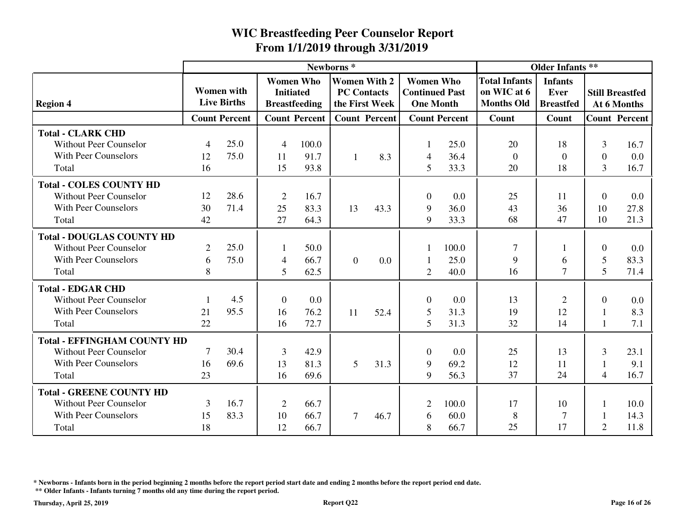|                                    |                |                                         |                  |                                          | Newborns <sup>*</sup> |                                       |                                                               |                      |                                                          | <b>Older Infants **</b>                    |                |                                       |
|------------------------------------|----------------|-----------------------------------------|------------------|------------------------------------------|-----------------------|---------------------------------------|---------------------------------------------------------------|----------------------|----------------------------------------------------------|--------------------------------------------|----------------|---------------------------------------|
| <b>Region 4</b>                    |                | <b>Women with</b><br><b>Live Births</b> | <b>Initiated</b> | <b>Women Who</b><br><b>Breastfeeding</b> | <b>PC Contacts</b>    | <b>Women With 2</b><br>the First Week | <b>Women Who</b><br><b>Continued Past</b><br><b>One Month</b> |                      | <b>Total Infants</b><br>on WIC at 6<br><b>Months Old</b> | <b>Infants</b><br>Ever<br><b>Breastfed</b> |                | <b>Still Breastfed</b><br>At 6 Months |
|                                    |                | <b>Count Percent</b>                    |                  | <b>Count Percent</b>                     |                       | <b>Count Percent</b>                  |                                                               | <b>Count Percent</b> | Count                                                    | Count                                      |                | <b>Count Percent</b>                  |
| <b>Total - CLARK CHD</b>           |                |                                         |                  |                                          |                       |                                       |                                                               |                      |                                                          |                                            |                |                                       |
| <b>Without Peer Counselor</b>      | $\overline{4}$ | 25.0                                    | 4                | 100.0                                    |                       |                                       |                                                               | 25.0                 | 20                                                       | 18                                         | 3              | 16.7                                  |
| <b>With Peer Counselors</b>        | 12             | 75.0                                    | 11               | 91.7                                     | $\mathbf{1}$          | 8.3                                   | 4                                                             | 36.4                 | $\overline{0}$                                           | $\overline{0}$                             | $\Omega$       | 0.0                                   |
| Total                              | 16             |                                         | 15               | 93.8                                     |                       |                                       | 5                                                             | 33.3                 | 20                                                       | 18                                         | 3              | 16.7                                  |
| <b>Total - COLES COUNTY HD</b>     |                |                                         |                  |                                          |                       |                                       |                                                               |                      |                                                          |                                            |                |                                       |
| <b>Without Peer Counselor</b>      | 12             | 28.6                                    | $\overline{2}$   | 16.7                                     |                       |                                       | $\theta$                                                      | 0.0                  | 25                                                       | 11                                         | $\Omega$       | 0.0                                   |
| <b>With Peer Counselors</b>        | 30             | 71.4                                    | 25               | 83.3                                     | 13                    | 43.3                                  | 9                                                             | 36.0                 | 43                                                       | 36                                         | 10             | 27.8                                  |
| Total                              | 42             |                                         | 27               | 64.3                                     |                       |                                       | 9                                                             | 33.3                 | 68                                                       | 47                                         | 10             | 21.3                                  |
| <b>Total - DOUGLAS COUNTY HD</b>   |                |                                         |                  |                                          |                       |                                       |                                                               |                      |                                                          |                                            |                |                                       |
| <b>Without Peer Counselor</b>      | 2              | 25.0                                    |                  | 50.0                                     |                       |                                       |                                                               | 100.0                | $\overline{7}$                                           | 1                                          | $\Omega$       | 0.0                                   |
| <b>With Peer Counselors</b>        | 6              | 75.0                                    | 4                | 66.7                                     | $\overline{0}$        | 0.0                                   |                                                               | 25.0                 | 9                                                        | 6                                          | 5              | 83.3                                  |
| Total                              | 8              |                                         | 5                | 62.5                                     |                       |                                       | 2                                                             | 40.0                 | 16                                                       | $\overline{7}$                             | 5              | 71.4                                  |
| <b>Total - EDGAR CHD</b>           |                |                                         |                  |                                          |                       |                                       |                                                               |                      |                                                          |                                            |                |                                       |
| <b>Without Peer Counselor</b>      |                | 4.5                                     | $\boldsymbol{0}$ | 0.0                                      |                       |                                       | $\overline{0}$                                                | 0.0                  | 13                                                       | $\overline{2}$                             | $\overline{0}$ | 0.0                                   |
| <b>With Peer Counselors</b>        | 21             | 95.5                                    | 16               | 76.2                                     | 11                    | 52.4                                  | 5                                                             | 31.3                 | 19                                                       | 12                                         |                | 8.3                                   |
| Total                              | 22             |                                         | 16               | 72.7                                     |                       |                                       | 5                                                             | 31.3                 | 32                                                       | 14                                         |                | 7.1                                   |
| <b>Total - EFFINGHAM COUNTY HD</b> |                |                                         |                  |                                          |                       |                                       |                                                               |                      |                                                          |                                            |                |                                       |
| <b>Without Peer Counselor</b>      | 7              | 30.4                                    | $\overline{3}$   | 42.9                                     |                       |                                       | $\theta$                                                      | 0.0                  | 25                                                       | 13                                         | $\overline{3}$ | 23.1                                  |
| <b>With Peer Counselors</b>        | 16             | 69.6                                    | 13               | 81.3                                     | 5                     | 31.3                                  | 9                                                             | 69.2                 | 12                                                       | 11                                         |                | 9.1                                   |
| Total                              | 23             |                                         | 16               | 69.6                                     |                       |                                       | 9                                                             | 56.3                 | 37                                                       | 24                                         | $\overline{4}$ | 16.7                                  |
| <b>Total - GREENE COUNTY HD</b>    |                |                                         |                  |                                          |                       |                                       |                                                               |                      |                                                          |                                            |                |                                       |
| <b>Without Peer Counselor</b>      | 3              | 16.7                                    | $\overline{c}$   | 66.7                                     |                       |                                       | 2                                                             | 100.0                | 17                                                       | 10                                         |                | 10.0                                  |
| <b>With Peer Counselors</b>        | 15             | 83.3                                    | 10               | 66.7                                     | 7                     | 46.7                                  | 6                                                             | 60.0                 | 8                                                        | 7                                          |                | 14.3                                  |
| Total                              | 18             |                                         | 12               | 66.7                                     |                       |                                       | 8                                                             | 66.7                 | 25                                                       | 17                                         | $\overline{2}$ | 11.8                                  |

**\* Newborns - Infants born in the period beginning 2 months before the report period start date and ending 2 months before the report period end date.**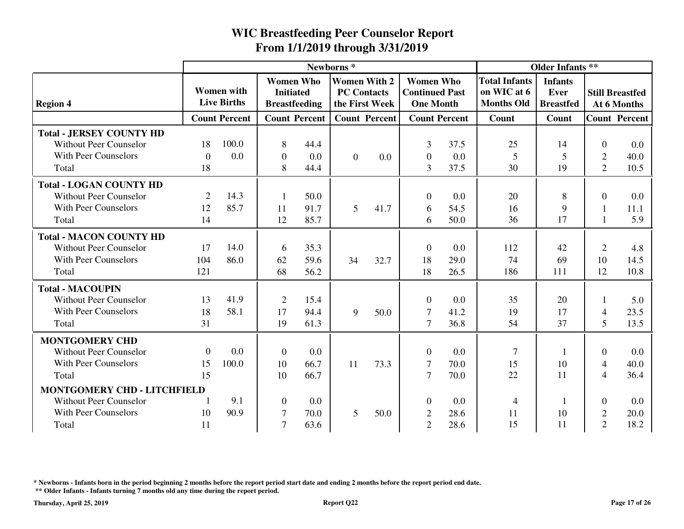|                                    |                |                                         |                                                              |                      | Newborns <sup>*</sup>                                       |                      |                                                               | <b>Older Infants **</b> |                                                          |                                            |                |                                       |
|------------------------------------|----------------|-----------------------------------------|--------------------------------------------------------------|----------------------|-------------------------------------------------------------|----------------------|---------------------------------------------------------------|-------------------------|----------------------------------------------------------|--------------------------------------------|----------------|---------------------------------------|
| <b>Region 4</b>                    |                | <b>Women</b> with<br><b>Live Births</b> | <b>Women Who</b><br><b>Initiated</b><br><b>Breastfeeding</b> |                      | <b>Women With 2</b><br><b>PC Contacts</b><br>the First Week |                      | <b>Women Who</b><br><b>Continued Past</b><br><b>One Month</b> |                         | <b>Total Infants</b><br>on WIC at 6<br><b>Months Old</b> | <b>Infants</b><br>Ever<br><b>Breastfed</b> |                | <b>Still Breastfed</b><br>At 6 Months |
|                                    |                | <b>Count Percent</b>                    |                                                              | <b>Count Percent</b> |                                                             | <b>Count Percent</b> |                                                               | <b>Count Percent</b>    | Count                                                    | Count                                      |                | <b>Count Percent</b>                  |
| <b>Total - JERSEY COUNTY HD</b>    |                |                                         |                                                              |                      |                                                             |                      |                                                               |                         |                                                          |                                            |                |                                       |
| <b>Without Peer Counselor</b>      | 18             | 100.0                                   | 8                                                            | 44.4                 |                                                             |                      | 3                                                             | 37.5                    | 25                                                       | 14                                         | $\theta$       | 0.0                                   |
| <b>With Peer Counselors</b>        | $\Omega$       | 0.0                                     | $\theta$                                                     | 0.0                  | $\overline{0}$                                              | 0.0                  | $\overline{0}$                                                | 0.0                     | 5                                                        | 5                                          | $\overline{2}$ | 40.0                                  |
| Total                              | 18             |                                         | 8                                                            | 44.4                 |                                                             |                      | $\overline{3}$                                                | 37.5                    | 30                                                       | 19                                         | $\overline{2}$ | 10.5                                  |
| <b>Total - LOGAN COUNTY HD</b>     |                |                                         |                                                              |                      |                                                             |                      |                                                               |                         |                                                          |                                            |                |                                       |
| <b>Without Peer Counselor</b>      | $\overline{2}$ | 14.3                                    | -1                                                           | 50.0                 |                                                             |                      | $\theta$                                                      | 0.0                     | 20                                                       | 8                                          | $\Omega$       | 0.0                                   |
| <b>With Peer Counselors</b>        | 12             | 85.7                                    | 11                                                           | 91.7                 | 5                                                           | 41.7                 | 6                                                             | 54.5                    | 16                                                       | 9                                          |                | 11.1                                  |
| Total                              | 14             |                                         | 12                                                           | 85.7                 |                                                             |                      | 6                                                             | 50.0                    | 36                                                       | 17                                         | $\mathbf{1}$   | 5.9                                   |
| <b>Total - MACON COUNTY HD</b>     |                |                                         |                                                              |                      |                                                             |                      |                                                               |                         |                                                          |                                            |                |                                       |
| <b>Without Peer Counselor</b>      | 17             | 14.0                                    | 6                                                            | 35.3                 |                                                             |                      | $\theta$                                                      | 0.0                     | 112                                                      | 42                                         | 2              | 4.8                                   |
| <b>With Peer Counselors</b>        | 104            | 86.0                                    | 62                                                           | 59.6                 | 34                                                          | 32.7                 | 18                                                            | 29.0                    | 74                                                       | 69                                         | 10             | 14.5                                  |
| Total                              | 121            |                                         | 68                                                           | 56.2                 |                                                             |                      | 18                                                            | 26.5                    | 186                                                      | 111                                        | 12             | 10.8                                  |
| <b>Total - MACOUPIN</b>            |                |                                         |                                                              |                      |                                                             |                      |                                                               |                         |                                                          |                                            |                |                                       |
| <b>Without Peer Counselor</b>      | 13             | 41.9                                    | $\overline{2}$                                               | 15.4                 |                                                             |                      | $\theta$                                                      | 0.0                     | 35                                                       | 20                                         |                | 5.0                                   |
| <b>With Peer Counselors</b>        | 18             | 58.1                                    | 17                                                           | 94.4                 | 9                                                           | 50.0                 | $\tau$                                                        | 41.2                    | 19                                                       | 17                                         | $\overline{4}$ | 23.5                                  |
| Total                              | 31             |                                         | 19                                                           | 61.3                 |                                                             |                      | 7                                                             | 36.8                    | 54                                                       | 37                                         | 5              | 13.5                                  |
| <b>MONTGOMERY CHD</b>              |                |                                         |                                                              |                      |                                                             |                      |                                                               |                         |                                                          |                                            |                |                                       |
| <b>Without Peer Counselor</b>      | $\theta$       | 0.0                                     | $\theta$                                                     | 0.0                  |                                                             |                      | $\theta$                                                      | 0.0                     | $\overline{7}$                                           | $\mathbf{1}$                               | $\Omega$       | 0.0                                   |
| <b>With Peer Counselors</b>        | 15             | 100.0                                   | 10                                                           | 66.7                 | 11                                                          | 73.3                 | 7                                                             | 70.0                    | 15                                                       | 10                                         | $\overline{4}$ | 40.0                                  |
| Total                              | 15             |                                         | 10                                                           | 66.7                 |                                                             |                      | $\overline{7}$                                                | 70.0                    | 22                                                       | 11                                         | $\overline{4}$ | 36.4                                  |
| <b>MONTGOMERY CHD - LITCHFIELD</b> |                |                                         |                                                              |                      |                                                             |                      |                                                               |                         |                                                          |                                            |                |                                       |
| <b>Without Peer Counselor</b>      |                | 9.1                                     | $\mathbf{0}$                                                 | 0.0                  |                                                             |                      | $\theta$                                                      | 0.0                     | $\overline{4}$                                           | $\mathbf{1}$                               | $\Omega$       | 0.0                                   |
| <b>With Peer Counselors</b>        | 10             | 90.9                                    | $\tau$                                                       | 70.0                 | 5                                                           | 50.0                 | $\mathbf{2}$                                                  | 28.6                    | 11                                                       | 10                                         | $\overline{2}$ | 20.0                                  |
| Total                              | 11             |                                         | $\overline{7}$                                               | 63.6                 |                                                             |                      | $\overline{2}$                                                | 28.6                    | 15                                                       | 11                                         | $\overline{2}$ | 18.2                                  |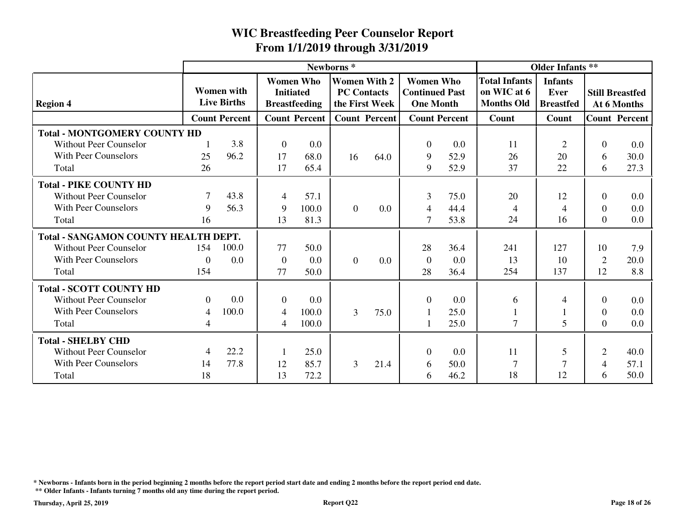|                                             |          |                                         |                                      |                      | Newborns <sup>*</sup> |                                                             |                                                               |                      |                                                          | <b>Older Infants **</b>                           |                |                                       |
|---------------------------------------------|----------|-----------------------------------------|--------------------------------------|----------------------|-----------------------|-------------------------------------------------------------|---------------------------------------------------------------|----------------------|----------------------------------------------------------|---------------------------------------------------|----------------|---------------------------------------|
| <b>Region 4</b>                             |          | <b>Women</b> with<br><b>Live Births</b> | <b>Women Who</b><br><b>Initiated</b> | <b>Breastfeeding</b> |                       | <b>Women With 2</b><br><b>PC Contacts</b><br>the First Week | <b>Women Who</b><br><b>Continued Past</b><br><b>One Month</b> |                      | <b>Total Infants</b><br>on WIC at 6<br><b>Months Old</b> | <b>Infants</b><br><b>Ever</b><br><b>Breastfed</b> |                | <b>Still Breastfed</b><br>At 6 Months |
|                                             |          | <b>Count Percent</b>                    |                                      | <b>Count Percent</b> |                       | <b>Count Percent</b>                                        |                                                               | <b>Count Percent</b> | Count                                                    | Count                                             |                | <b>Count Percent</b>                  |
| <b>Total - MONTGOMERY COUNTY HD</b>         |          |                                         |                                      |                      |                       |                                                             |                                                               |                      |                                                          |                                                   |                |                                       |
| <b>Without Peer Counselor</b>               |          | 3.8                                     | $\mathbf{0}$                         | 0.0                  |                       |                                                             | $\theta$                                                      | 0.0                  | 11                                                       | $\overline{2}$                                    | $\Omega$       | 0.0                                   |
| <b>With Peer Counselors</b>                 | 25       | 96.2                                    | 17                                   | 68.0                 | 16                    | 64.0                                                        | 9                                                             | 52.9                 | 26                                                       | 20                                                | 6              | 30.0                                  |
| Total                                       | 26       |                                         | 17                                   | 65.4                 |                       |                                                             | 9                                                             | 52.9                 | 37                                                       | 22                                                | 6              | 27.3                                  |
| <b>Total - PIKE COUNTY HD</b>               |          |                                         |                                      |                      |                       |                                                             |                                                               |                      |                                                          |                                                   |                |                                       |
| <b>Without Peer Counselor</b>               | 7        | 43.8                                    | 4                                    | 57.1                 |                       |                                                             | 3                                                             | 75.0                 | 20                                                       | 12                                                | $\Omega$       | 0.0                                   |
| <b>With Peer Counselors</b>                 | 9        | 56.3                                    | 9                                    | 100.0                | $\Omega$              | 0.0                                                         | 4                                                             | 44.4                 | $\overline{4}$                                           | $\overline{4}$                                    | $\Omega$       | 0.0                                   |
| Total                                       | 16       |                                         | 13                                   | 81.3                 |                       |                                                             |                                                               | 53.8                 | 24                                                       | 16                                                | $\Omega$       | 0.0                                   |
| <b>Total - SANGAMON COUNTY HEALTH DEPT.</b> |          |                                         |                                      |                      |                       |                                                             |                                                               |                      |                                                          |                                                   |                |                                       |
| <b>Without Peer Counselor</b>               | 154      | 100.0                                   | 77                                   | 50.0                 |                       |                                                             | 28                                                            | 36.4                 | 241                                                      | 127                                               | 10             | 7.9                                   |
| <b>With Peer Counselors</b>                 | $\Omega$ | 0.0                                     | $\boldsymbol{0}$                     | 0.0                  | $\Omega$              | 0.0                                                         | $\theta$                                                      | 0.0                  | 13                                                       | 10                                                | $\overline{2}$ | 20.0                                  |
| Total                                       | 154      |                                         | 77                                   | 50.0                 |                       |                                                             | 28                                                            | 36.4                 | 254                                                      | 137                                               | 12             | 8.8                                   |
| <b>Total - SCOTT COUNTY HD</b>              |          |                                         |                                      |                      |                       |                                                             |                                                               |                      |                                                          |                                                   |                |                                       |
| <b>Without Peer Counselor</b>               | $\theta$ | 0.0                                     | $\overline{0}$                       | 0.0                  |                       |                                                             | $\theta$                                                      | 0.0                  | 6                                                        | 4                                                 | $\Omega$       | 0.0                                   |
| <b>With Peer Counselors</b>                 | 4        | 100.0                                   | 4                                    | 100.0                | $\overline{3}$        | 75.0                                                        |                                                               | 25.0                 |                                                          |                                                   | $\Omega$       | 0.0                                   |
| Total                                       | 4        |                                         | 4                                    | 100.0                |                       |                                                             |                                                               | 25.0                 | $\overline{7}$                                           | 5                                                 | $\Omega$       | 0.0                                   |
| <b>Total - SHELBY CHD</b>                   |          |                                         |                                      |                      |                       |                                                             |                                                               |                      |                                                          |                                                   |                |                                       |
| <b>Without Peer Counselor</b>               | 4        | 22.2                                    |                                      | 25.0                 |                       |                                                             | $\theta$                                                      | 0.0                  | 11                                                       | 5                                                 | $\overline{2}$ | 40.0                                  |
| <b>With Peer Counselors</b>                 | 14       | 77.8                                    | 12                                   | 85.7                 | $\overline{3}$        | 21.4                                                        | 6                                                             | 50.0                 | $\overline{7}$                                           | $\overline{7}$                                    | $\overline{4}$ | 57.1                                  |
| Total                                       | 18       |                                         | 13                                   | 72.2                 |                       |                                                             | 6                                                             | 46.2                 | 18                                                       | 12                                                | 6              | 50.0                                  |

**\* Newborns - Infants born in the period beginning 2 months before the report period start date and ending 2 months before the report period end date.**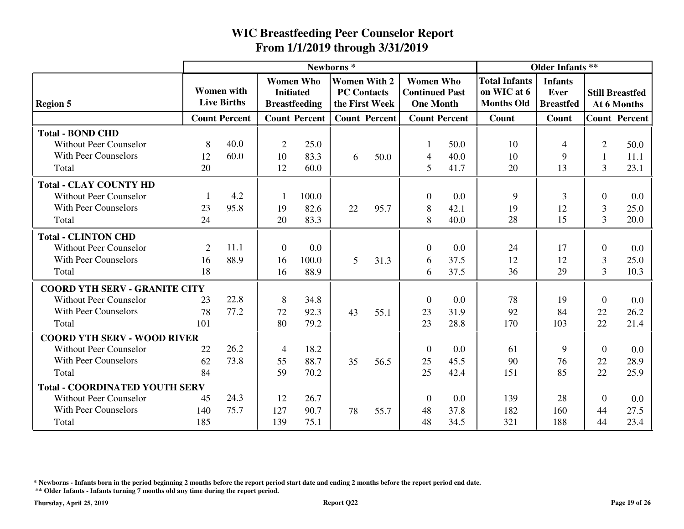|                                       |                |                                         |                                                              |                      | Newborns <sup>*</sup>                     |                      |                                                               |                      |                                                          | <b>Older Infants **</b>                    |                |                                       |
|---------------------------------------|----------------|-----------------------------------------|--------------------------------------------------------------|----------------------|-------------------------------------------|----------------------|---------------------------------------------------------------|----------------------|----------------------------------------------------------|--------------------------------------------|----------------|---------------------------------------|
| <b>Region 5</b>                       |                | <b>Women</b> with<br><b>Live Births</b> | <b>Women Who</b><br><b>Initiated</b><br><b>Breastfeeding</b> |                      | <b>Women With 2</b><br><b>PC Contacts</b> | the First Week       | <b>Women Who</b><br><b>Continued Past</b><br><b>One Month</b> |                      | <b>Total Infants</b><br>on WIC at 6<br><b>Months Old</b> | <b>Infants</b><br>Ever<br><b>Breastfed</b> |                | <b>Still Breastfed</b><br>At 6 Months |
|                                       |                | <b>Count Percent</b>                    |                                                              | <b>Count Percent</b> |                                           | <b>Count Percent</b> |                                                               | <b>Count Percent</b> | Count                                                    | Count                                      |                | <b>Count Percent</b>                  |
| <b>Total - BOND CHD</b>               |                |                                         |                                                              |                      |                                           |                      |                                                               |                      |                                                          |                                            |                |                                       |
| <b>Without Peer Counselor</b>         | 8              | 40.0                                    | $\overline{2}$                                               | 25.0                 |                                           |                      |                                                               | 50.0                 | 10                                                       | 4                                          | $\overline{2}$ | 50.0                                  |
| <b>With Peer Counselors</b>           | 12             | 60.0                                    | 10                                                           | 83.3                 | 6                                         | 50.0                 | 4                                                             | 40.0                 | 10                                                       | 9                                          |                | 11.1                                  |
| Total                                 | 20             |                                         | 12                                                           | 60.0                 |                                           |                      | 5                                                             | 41.7                 | 20                                                       | 13                                         | 3              | 23.1                                  |
| <b>Total - CLAY COUNTY HD</b>         |                |                                         |                                                              |                      |                                           |                      |                                                               |                      |                                                          |                                            |                |                                       |
| <b>Without Peer Counselor</b>         |                | 4.2                                     | 1                                                            | 100.0                |                                           |                      | $\Omega$                                                      | 0.0                  | 9                                                        | 3                                          | $\Omega$       | 0.0                                   |
| <b>With Peer Counselors</b>           | 23             | 95.8                                    | 19                                                           | 82.6                 | 22                                        | 95.7                 | 8                                                             | 42.1                 | 19                                                       | 12                                         | 3              | 25.0                                  |
| Total                                 | 24             |                                         | 20                                                           | 83.3                 |                                           |                      | 8                                                             | 40.0                 | 28                                                       | 15                                         | $\overline{3}$ | 20.0                                  |
| <b>Total - CLINTON CHD</b>            |                |                                         |                                                              |                      |                                           |                      |                                                               |                      |                                                          |                                            |                |                                       |
| <b>Without Peer Counselor</b>         | $\overline{2}$ | 11.1                                    | $\boldsymbol{0}$                                             | 0.0                  |                                           |                      | $\overline{0}$                                                | 0.0                  | 24                                                       | 17                                         | $\Omega$       | 0.0                                   |
| <b>With Peer Counselors</b>           | 16             | 88.9                                    | 16                                                           | 100.0                | 5                                         | 31.3                 | 6                                                             | 37.5                 | 12                                                       | 12                                         | 3              | 25.0                                  |
| Total                                 | 18             |                                         | 16                                                           | 88.9                 |                                           |                      | 6                                                             | 37.5                 | 36                                                       | 29                                         | 3              | 10.3                                  |
| <b>COORD YTH SERV - GRANITE CITY</b>  |                |                                         |                                                              |                      |                                           |                      |                                                               |                      |                                                          |                                            |                |                                       |
| <b>Without Peer Counselor</b>         | 23             | 22.8                                    | 8                                                            | 34.8                 |                                           |                      | $\theta$                                                      | 0.0                  | 78                                                       | 19                                         | $\Omega$       | 0.0                                   |
| <b>With Peer Counselors</b>           | 78             | 77.2                                    | 72                                                           | 92.3                 | 43                                        | 55.1                 | 23                                                            | 31.9                 | 92                                                       | 84                                         | 22             | 26.2                                  |
| Total                                 | 101            |                                         | 80                                                           | 79.2                 |                                           |                      | 23                                                            | 28.8                 | 170                                                      | 103                                        | 22             | 21.4                                  |
| <b>COORD YTH SERV - WOOD RIVER</b>    |                |                                         |                                                              |                      |                                           |                      |                                                               |                      |                                                          |                                            |                |                                       |
| <b>Without Peer Counselor</b>         | 22             | 26.2                                    | $\overline{4}$                                               | 18.2                 |                                           |                      | $\overline{0}$                                                | 0.0                  | 61                                                       | 9                                          | $\theta$       | 0.0                                   |
| <b>With Peer Counselors</b>           | 62             | 73.8                                    | 55                                                           | 88.7                 | 35                                        | 56.5                 | $25\,$                                                        | 45.5                 | 90                                                       | 76                                         | $22\,$         | 28.9                                  |
| Total                                 | 84             |                                         | 59                                                           | 70.2                 |                                           |                      | 25                                                            | 42.4                 | 151                                                      | 85                                         | 22             | 25.9                                  |
| <b>Total - COORDINATED YOUTH SERV</b> |                |                                         |                                                              |                      |                                           |                      |                                                               |                      |                                                          |                                            |                |                                       |
| <b>Without Peer Counselor</b>         | 45             | 24.3                                    | 12                                                           | 26.7                 |                                           |                      | $\Omega$                                                      | 0.0                  | 139                                                      | 28                                         | $\Omega$       | 0.0                                   |
| <b>With Peer Counselors</b>           | 140            | 75.7                                    | 127                                                          | 90.7                 | 78                                        | 55.7                 | 48                                                            | 37.8                 | 182                                                      | 160                                        | 44             | 27.5                                  |
| Total                                 | 185            |                                         | 139                                                          | 75.1                 |                                           |                      | 48                                                            | 34.5                 | 321                                                      | 188                                        | 44             | 23.4                                  |

**\* Newborns - Infants born in the period beginning 2 months before the report period start date and ending 2 months before the report period end date.**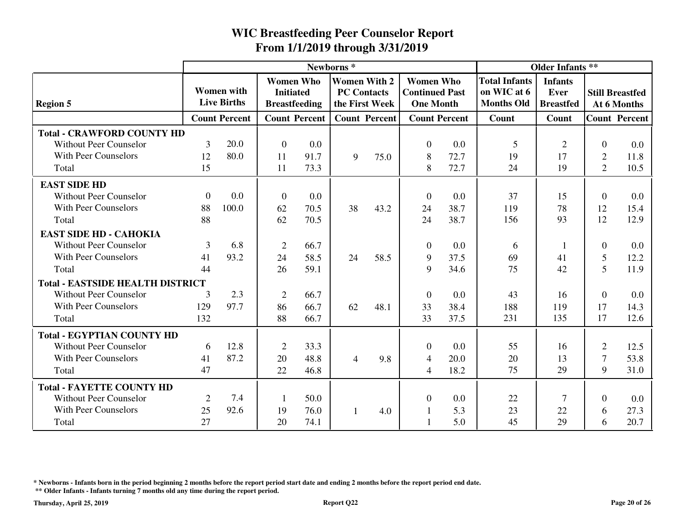|                                         |                |                                         |                                                              |                      | Newborns <sup>*</sup>                     |                      |                                                               |      |                                                          | <b>Older Infants **</b>                    |                |                                       |
|-----------------------------------------|----------------|-----------------------------------------|--------------------------------------------------------------|----------------------|-------------------------------------------|----------------------|---------------------------------------------------------------|------|----------------------------------------------------------|--------------------------------------------|----------------|---------------------------------------|
| <b>Region 5</b>                         |                | <b>Women with</b><br><b>Live Births</b> | <b>Women Who</b><br><b>Initiated</b><br><b>Breastfeeding</b> |                      | <b>Women With 2</b><br><b>PC Contacts</b> | the First Week       | <b>Women Who</b><br><b>Continued Past</b><br><b>One Month</b> |      | <b>Total Infants</b><br>on WIC at 6<br><b>Months Old</b> | <b>Infants</b><br>Ever<br><b>Breastfed</b> |                | <b>Still Breastfed</b><br>At 6 Months |
|                                         |                | <b>Count Percent</b>                    |                                                              | <b>Count Percent</b> |                                           | <b>Count Percent</b> | <b>Count Percent</b>                                          |      | Count                                                    | Count                                      |                | <b>Count Percent</b>                  |
| <b>Total - CRAWFORD COUNTY HD</b>       |                |                                         |                                                              |                      |                                           |                      |                                                               |      |                                                          |                                            |                |                                       |
| <b>Without Peer Counselor</b>           | 3              | 20.0                                    | $\overline{0}$                                               | 0.0                  |                                           |                      | $\overline{0}$                                                | 0.0  | 5                                                        | $\overline{2}$                             | $\Omega$       | 0.0                                   |
| <b>With Peer Counselors</b>             | 12             | 80.0                                    | 11                                                           | 91.7                 | 9                                         | 75.0                 | 8                                                             | 72.7 | 19                                                       | 17                                         | $\overline{2}$ | 11.8                                  |
| Total                                   | 15             |                                         | 11                                                           | 73.3                 |                                           |                      | 8                                                             | 72.7 | 24                                                       | 19                                         | $\overline{2}$ | 10.5                                  |
| <b>EAST SIDE HD</b>                     |                |                                         |                                                              |                      |                                           |                      |                                                               |      |                                                          |                                            |                |                                       |
| <b>Without Peer Counselor</b>           | $\theta$       | 0.0                                     | $\overline{0}$                                               | 0.0                  |                                           |                      | $\Omega$                                                      | 0.0  | 37                                                       | 15                                         | $\theta$       | 0.0                                   |
| <b>With Peer Counselors</b>             | 88             | 100.0                                   | 62                                                           | 70.5                 | 38                                        | 43.2                 | 24                                                            | 38.7 | 119                                                      | 78                                         | 12             | 15.4                                  |
| Total                                   | 88             |                                         | 62                                                           | 70.5                 |                                           |                      | 24                                                            | 38.7 | 156                                                      | 93                                         | 12             | 12.9                                  |
| <b>EAST SIDE HD - CAHOKIA</b>           |                |                                         |                                                              |                      |                                           |                      |                                                               |      |                                                          |                                            |                |                                       |
| <b>Without Peer Counselor</b>           | 3              | 6.8                                     | $\overline{2}$                                               | 66.7                 |                                           |                      | $\theta$                                                      | 0.0  | 6                                                        | $\mathbf{1}$                               | $\Omega$       | 0.0                                   |
| <b>With Peer Counselors</b>             | 41             | 93.2                                    | 24                                                           | 58.5                 | 24                                        | 58.5                 | 9                                                             | 37.5 | 69                                                       | 41                                         | 5              | 12.2                                  |
| Total                                   | 44             |                                         | 26                                                           | 59.1                 |                                           |                      | 9                                                             | 34.6 | 75                                                       | 42                                         | 5              | 11.9                                  |
| <b>Total - EASTSIDE HEALTH DISTRICT</b> |                |                                         |                                                              |                      |                                           |                      |                                                               |      |                                                          |                                            |                |                                       |
| <b>Without Peer Counselor</b>           | 3              | 2.3                                     | $\overline{2}$                                               | 66.7                 |                                           |                      | $\Omega$                                                      | 0.0  | 43                                                       | 16                                         | $\Omega$       | 0.0                                   |
| <b>With Peer Counselors</b>             | 129            | 97.7                                    | 86                                                           | 66.7                 | 62                                        | 48.1                 | 33                                                            | 38.4 | 188                                                      | 119                                        | 17             | 14.3                                  |
| Total                                   | 132            |                                         | 88                                                           | 66.7                 |                                           |                      | 33                                                            | 37.5 | 231                                                      | 135                                        | 17             | 12.6                                  |
| <b>Total - EGYPTIAN COUNTY HD</b>       |                |                                         |                                                              |                      |                                           |                      |                                                               |      |                                                          |                                            |                |                                       |
| <b>Without Peer Counselor</b>           | 6              | 12.8                                    | $\overline{2}$                                               | 33.3                 |                                           |                      | $\theta$                                                      | 0.0  | 55                                                       | 16                                         | $\overline{2}$ | 12.5                                  |
| <b>With Peer Counselors</b>             | 41             | 87.2                                    | 20                                                           | 48.8                 | $\overline{4}$                            | 9.8                  | $\overline{4}$                                                | 20.0 | 20                                                       | 13                                         | $\overline{7}$ | 53.8                                  |
| Total                                   | 47             |                                         | 22                                                           | 46.8                 |                                           |                      | $\overline{4}$                                                | 18.2 | 75                                                       | 29                                         | 9              | 31.0                                  |
| <b>Total - FAYETTE COUNTY HD</b>        |                |                                         |                                                              |                      |                                           |                      |                                                               |      |                                                          |                                            |                |                                       |
| <b>Without Peer Counselor</b>           | $\overline{2}$ | 7.4                                     | 1                                                            | 50.0                 |                                           |                      | $\theta$                                                      | 0.0  | 22                                                       | $\overline{7}$                             | $\Omega$       | 0.0                                   |
| <b>With Peer Counselors</b>             | 25             | 92.6                                    | 19                                                           | 76.0                 | 1                                         | 4.0                  |                                                               | 5.3  | 23                                                       | 22                                         | 6              | 27.3                                  |
| Total                                   | 27             |                                         | 20                                                           | 74.1                 |                                           |                      |                                                               | 5.0  | 45                                                       | 29                                         | 6              | 20.7                                  |

**\* Newborns - Infants born in the period beginning 2 months before the report period start date and ending 2 months before the report period end date.**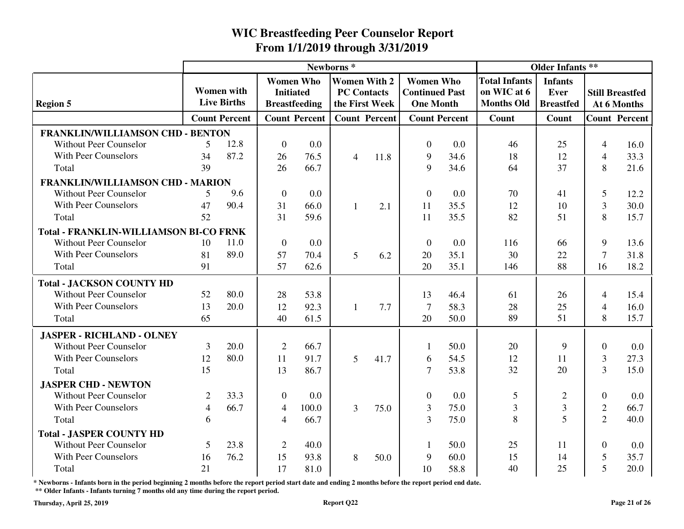|                                               |                |                      |                |                      | Newborns <sup>*</sup> |                      |                       | <b>Older Infants **</b> |                      |                  |                |                        |
|-----------------------------------------------|----------------|----------------------|----------------|----------------------|-----------------------|----------------------|-----------------------|-------------------------|----------------------|------------------|----------------|------------------------|
|                                               |                |                      |                | <b>Women Who</b>     |                       | <b>Women With 2</b>  | <b>Women Who</b>      |                         | <b>Total Infants</b> | <b>Infants</b>   |                |                        |
|                                               |                | <b>Women</b> with    |                | <b>Initiated</b>     |                       | <b>PC Contacts</b>   | <b>Continued Past</b> |                         | on WIC at 6          | <b>Ever</b>      |                | <b>Still Breastfed</b> |
| <b>Region 5</b>                               |                | <b>Live Births</b>   |                | <b>Breastfeeding</b> |                       | the First Week       | <b>One Month</b>      |                         | <b>Months Old</b>    | <b>Breastfed</b> |                | At 6 Months            |
|                                               |                | <b>Count Percent</b> |                | <b>Count Percent</b> |                       | <b>Count Percent</b> | <b>Count Percent</b>  |                         | Count                | Count            |                | <b>Count Percent</b>   |
| <b>FRANKLIN/WILLIAMSON CHD - BENTON</b>       |                |                      |                |                      |                       |                      |                       |                         |                      |                  |                |                        |
| <b>Without Peer Counselor</b>                 | 5              | 12.8                 | $\overline{0}$ | 0.0                  |                       |                      | $\mathbf{0}$          | 0.0                     | 46                   | 25               | 4              | 16.0                   |
| <b>With Peer Counselors</b>                   | 34             | 87.2                 | 26             | 76.5                 | $\overline{4}$        | 11.8                 | 9                     | 34.6                    | 18                   | 12               | $\overline{4}$ | 33.3                   |
| Total                                         | 39             |                      | 26             | 66.7                 |                       |                      | 9                     | 34.6                    | 64                   | 37               | 8              | 21.6                   |
| <b>FRANKLIN/WILLIAMSON CHD - MARION</b>       |                |                      |                |                      |                       |                      |                       |                         |                      |                  |                |                        |
| <b>Without Peer Counselor</b>                 | 5              | 9.6                  | $\overline{0}$ | 0.0                  |                       |                      | $\theta$              | 0.0                     | 70                   | 41               | 5              | 12.2                   |
| With Peer Counselors                          | 47             | 90.4                 | 31             | 66.0                 | $\mathbf{1}$          | 2.1                  | 11                    | 35.5                    | 12                   | 10               | $\overline{3}$ | 30.0                   |
| Total                                         | 52             |                      | 31             | 59.6                 |                       |                      | 11                    | 35.5                    | 82                   | 51               | 8              | 15.7                   |
| <b>Total - FRANKLIN-WILLIAMSON BI-CO FRNK</b> |                |                      |                |                      |                       |                      |                       |                         |                      |                  |                |                        |
| Without Peer Counselor                        | 10             | 11.0                 | $\mathbf{0}$   | 0.0                  |                       |                      | $\overline{0}$        | 0.0                     | 116                  | 66               | 9              | 13.6                   |
| <b>With Peer Counselors</b>                   | 81             | 89.0                 | 57             | 70.4                 | 5                     | 6.2                  | 20                    | 35.1                    | 30                   | 22               | $\overline{7}$ | 31.8                   |
| Total                                         | 91             |                      | 57             | 62.6                 |                       |                      | 20                    | 35.1                    | 146                  | 88               | 16             | 18.2                   |
| <b>Total - JACKSON COUNTY HD</b>              |                |                      |                |                      |                       |                      |                       |                         |                      |                  |                |                        |
| <b>Without Peer Counselor</b>                 | 52             | 80.0                 | 28             | 53.8                 |                       |                      | 13                    | 46.4                    | 61                   | 26               | 4              | 15.4                   |
| With Peer Counselors                          | 13             | 20.0                 | 12             | 92.3                 | $\mathbf{1}$          | 7.7                  | $\overline{7}$        | 58.3                    | 28                   | 25               | $\overline{4}$ | 16.0                   |
| Total                                         | 65             |                      | 40             | 61.5                 |                       |                      | 20                    | 50.0                    | 89                   | 51               | 8              | 15.7                   |
| <b>JASPER - RICHLAND - OLNEY</b>              |                |                      |                |                      |                       |                      |                       |                         |                      |                  |                |                        |
| <b>Without Peer Counselor</b>                 | 3              | 20.0                 | $\overline{2}$ | 66.7                 |                       |                      |                       | 50.0                    | 20                   | 9                | $\Omega$       | 0.0                    |
| <b>With Peer Counselors</b>                   | 12             | 80.0                 | 11             | 91.7                 | 5                     | 41.7                 | 6                     | 54.5                    | 12                   | 11               | $\mathfrak{Z}$ | 27.3                   |
| Total                                         | 15             |                      | 13             | 86.7                 |                       |                      | $\overline{7}$        | 53.8                    | 32                   | 20               | 3              | 15.0                   |
| <b>JASPER CHD - NEWTON</b>                    |                |                      |                |                      |                       |                      |                       |                         |                      |                  |                |                        |
| Without Peer Counselor                        | $\overline{2}$ | 33.3                 | $\mathbf{0}$   | 0.0                  |                       |                      | $\mathbf{0}$          | 0.0                     | 5                    | $\overline{2}$   | $\overline{0}$ | 0.0                    |
| <b>With Peer Counselors</b>                   | $\overline{4}$ | 66.7                 | $\overline{4}$ | 100.0                | 3                     | 75.0                 | $\mathfrak{Z}$        | 75.0                    | $\overline{3}$       | 3                | $\overline{2}$ | 66.7                   |
| Total                                         | 6              |                      | $\overline{4}$ | 66.7                 |                       |                      | $\overline{3}$        | 75.0                    | 8                    | 5                | $\overline{2}$ | 40.0                   |
| <b>Total - JASPER COUNTY HD</b>               |                |                      |                |                      |                       |                      |                       |                         |                      |                  |                |                        |
| <b>Without Peer Counselor</b>                 | 5              | 23.8                 | $\overline{2}$ | 40.0                 |                       |                      | 1                     | 50.0                    | 25                   | 11               | $\Omega$       | 0.0                    |
| With Peer Counselors                          | 16             | 76.2                 | 15             | 93.8                 | 8                     | 50.0                 | 9                     | 60.0                    | 15                   | 14               | 5              | 35.7                   |
| Total                                         | 21             |                      | 17             | 81.0                 |                       |                      | 10                    | 58.8                    | 40                   | 25               | 5              | 20.0                   |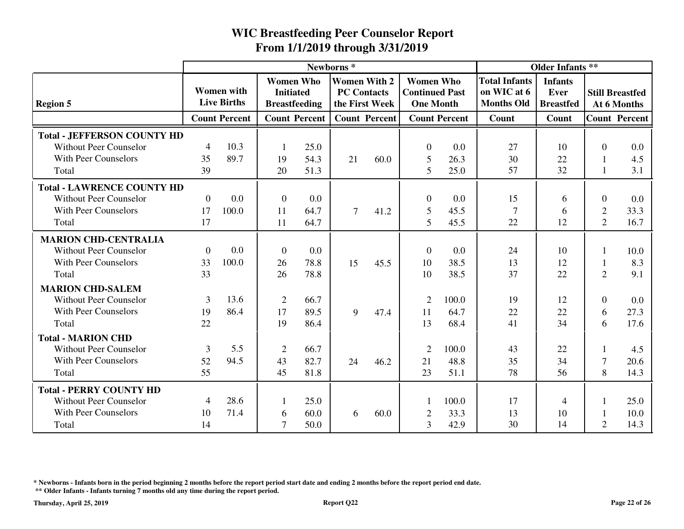|                                    |                |                                         |                                                              |                      | Newborns <sup>*</sup> |                                       |                                                               | <b>Older Infants **</b> |                                                          |                                            |                |                                       |
|------------------------------------|----------------|-----------------------------------------|--------------------------------------------------------------|----------------------|-----------------------|---------------------------------------|---------------------------------------------------------------|-------------------------|----------------------------------------------------------|--------------------------------------------|----------------|---------------------------------------|
| <b>Region 5</b>                    |                | <b>Women</b> with<br><b>Live Births</b> | <b>Women Who</b><br><b>Initiated</b><br><b>Breastfeeding</b> |                      | <b>PC Contacts</b>    | <b>Women With 2</b><br>the First Week | <b>Women Who</b><br><b>Continued Past</b><br><b>One Month</b> |                         | <b>Total Infants</b><br>on WIC at 6<br><b>Months Old</b> | <b>Infants</b><br>Ever<br><b>Breastfed</b> |                | <b>Still Breastfed</b><br>At 6 Months |
|                                    |                | <b>Count Percent</b>                    |                                                              | <b>Count Percent</b> |                       | <b>Count Percent</b>                  |                                                               | <b>Count Percent</b>    | Count                                                    | Count                                      |                | <b>Count Percent</b>                  |
| <b>Total - JEFFERSON COUNTY HD</b> |                |                                         |                                                              |                      |                       |                                       |                                                               |                         |                                                          |                                            |                |                                       |
| <b>Without Peer Counselor</b>      | $\overline{4}$ | 10.3                                    |                                                              | 25.0                 |                       |                                       | $\theta$                                                      | 0.0                     | 27                                                       | 10                                         | $\Omega$       | 0.0                                   |
| <b>With Peer Counselors</b>        | 35             | 89.7                                    | 19                                                           | 54.3                 | 21                    | 60.0                                  | 5                                                             | 26.3                    | 30                                                       | 22                                         |                | 4.5                                   |
| Total                              | 39             |                                         | 20                                                           | 51.3                 |                       |                                       | 5                                                             | 25.0                    | 57                                                       | 32                                         |                | 3.1                                   |
| <b>Total - LAWRENCE COUNTY HD</b>  |                |                                         |                                                              |                      |                       |                                       |                                                               |                         |                                                          |                                            |                |                                       |
| <b>Without Peer Counselor</b>      | $\Omega$       | 0.0                                     | $\overline{0}$                                               | 0.0                  |                       |                                       | $\theta$                                                      | 0.0                     | 15                                                       | 6                                          | $\Omega$       | 0.0                                   |
| <b>With Peer Counselors</b>        | 17             | 100.0                                   | 11                                                           | 64.7                 | $\overline{7}$        | 41.2                                  | 5                                                             | 45.5                    | $\overline{7}$                                           | 6                                          | $\overline{2}$ | 33.3                                  |
| Total                              | 17             |                                         | 11                                                           | 64.7                 |                       |                                       | 5                                                             | 45.5                    | 22                                                       | 12                                         | $\overline{2}$ | 16.7                                  |
| <b>MARION CHD-CENTRALIA</b>        |                |                                         |                                                              |                      |                       |                                       |                                                               |                         |                                                          |                                            |                |                                       |
| <b>Without Peer Counselor</b>      | $\theta$       | 0.0                                     | $\mathbf{0}$                                                 | 0.0                  |                       |                                       | $\theta$                                                      | 0.0                     | 24                                                       | 10                                         |                | 10.0                                  |
| <b>With Peer Counselors</b>        | 33             | 100.0                                   | 26                                                           | 78.8                 | 15                    | 45.5                                  | 10                                                            | 38.5                    | 13                                                       | 12                                         |                | 8.3                                   |
| Total                              | 33             |                                         | 26                                                           | 78.8                 |                       |                                       | 10                                                            | 38.5                    | 37                                                       | 22                                         | $\overline{2}$ | 9.1                                   |
| <b>MARION CHD-SALEM</b>            |                |                                         |                                                              |                      |                       |                                       |                                                               |                         |                                                          |                                            |                |                                       |
| <b>Without Peer Counselor</b>      | 3              | 13.6                                    | $\overline{2}$                                               | 66.7                 |                       |                                       | $\overline{2}$                                                | 100.0                   | 19                                                       | 12                                         | $\Omega$       | 0.0                                   |
| <b>With Peer Counselors</b>        | 19             | 86.4                                    | 17                                                           | 89.5                 | 9                     | 47.4                                  | 11                                                            | 64.7                    | 22                                                       | 22                                         | 6              | 27.3                                  |
| Total                              | 22             |                                         | 19                                                           | 86.4                 |                       |                                       | 13                                                            | 68.4                    | 41                                                       | 34                                         | 6              | 17.6                                  |
| <b>Total - MARION CHD</b>          |                |                                         |                                                              |                      |                       |                                       |                                                               |                         |                                                          |                                            |                |                                       |
| <b>Without Peer Counselor</b>      | 3              | 5.5                                     | $\overline{2}$                                               | 66.7                 |                       |                                       | $\overline{2}$                                                | 100.0                   | 43                                                       | 22                                         |                | 4.5                                   |
| <b>With Peer Counselors</b>        | 52             | 94.5                                    | 43                                                           | 82.7                 | 24                    | 46.2                                  | 21                                                            | 48.8                    | 35                                                       | 34                                         | 7              | 20.6                                  |
| Total                              | 55             |                                         | 45                                                           | 81.8                 |                       |                                       | 23                                                            | 51.1                    | 78                                                       | 56                                         | 8              | 14.3                                  |
| <b>Total - PERRY COUNTY HD</b>     |                |                                         |                                                              |                      |                       |                                       |                                                               |                         |                                                          |                                            |                |                                       |
| Without Peer Counselor             | $\overline{4}$ | 28.6                                    |                                                              | 25.0                 |                       |                                       |                                                               | 100.0                   | 17                                                       | $\overline{4}$                             |                | 25.0                                  |
| <b>With Peer Counselors</b>        | 10             | 71.4                                    | 6                                                            | 60.0                 | 6                     | 60.0                                  | $\overline{c}$                                                | 33.3                    | 13                                                       | 10                                         |                | 10.0                                  |
| Total                              | 14             |                                         | 7                                                            | 50.0                 |                       |                                       | $\overline{3}$                                                | 42.9                    | 30                                                       | 14                                         | $\overline{2}$ | 14.3                                  |

**\* Newborns - Infants born in the period beginning 2 months before the report period start date and ending 2 months before the report period end date.**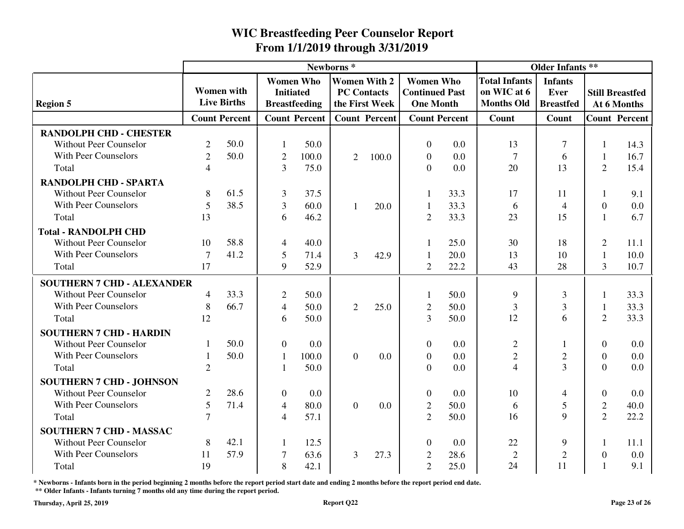|                                   |                |                                         |                |                                                              | Newborns*      |                                                             |                                                               | <b>Older Infants **</b> |                                                          |                                            |                |                                       |
|-----------------------------------|----------------|-----------------------------------------|----------------|--------------------------------------------------------------|----------------|-------------------------------------------------------------|---------------------------------------------------------------|-------------------------|----------------------------------------------------------|--------------------------------------------|----------------|---------------------------------------|
| <b>Region 5</b>                   |                | <b>Women</b> with<br><b>Live Births</b> |                | <b>Women Who</b><br><b>Initiated</b><br><b>Breastfeeding</b> |                | <b>Women With 2</b><br><b>PC Contacts</b><br>the First Week | <b>Women Who</b><br><b>Continued Past</b><br><b>One Month</b> |                         | <b>Total Infants</b><br>on WIC at 6<br><b>Months Old</b> | <b>Infants</b><br>Ever<br><b>Breastfed</b> |                | <b>Still Breastfed</b><br>At 6 Months |
|                                   |                | <b>Count Percent</b>                    |                | <b>Count Percent</b>                                         |                | <b>Count Percent</b>                                        |                                                               | <b>Count Percent</b>    | <b>Count</b>                                             | Count                                      |                | <b>Count Percent</b>                  |
| <b>RANDOLPH CHD - CHESTER</b>     |                |                                         |                |                                                              |                |                                                             |                                                               |                         |                                                          |                                            |                |                                       |
| <b>Without Peer Counselor</b>     | 2              | 50.0                                    | $\mathbf{1}$   | 50.0                                                         |                |                                                             | $\Omega$                                                      | 0.0                     | 13                                                       | 7                                          | 1              | 14.3                                  |
| <b>With Peer Counselors</b>       | $\overline{2}$ | 50.0                                    | $\overline{2}$ | 100.0                                                        | $\overline{2}$ | 100.0                                                       | $\theta$                                                      | 0.0                     | $\overline{7}$                                           | 6                                          | $\mathbf{1}$   | 16.7                                  |
| Total                             | $\overline{4}$ |                                         | $\overline{3}$ | 75.0                                                         |                |                                                             | $\Omega$                                                      | 0.0                     | 20                                                       | 13                                         | $\overline{2}$ | 15.4                                  |
| <b>RANDOLPH CHD - SPARTA</b>      |                |                                         |                |                                                              |                |                                                             |                                                               |                         |                                                          |                                            |                |                                       |
| <b>Without Peer Counselor</b>     | 8              | 61.5                                    | 3              | 37.5                                                         |                |                                                             |                                                               | 33.3                    | 17                                                       | 11                                         |                | 9.1                                   |
| <b>With Peer Counselors</b>       | 5              | 38.5                                    | $\overline{3}$ | 60.0                                                         | $\mathbf{1}$   | 20.0                                                        | 1                                                             | 33.3                    | 6                                                        | $\overline{4}$                             | $\Omega$       | 0.0                                   |
| Total                             | 13             |                                         | 6              | 46.2                                                         |                |                                                             | $\overline{2}$                                                | 33.3                    | 23                                                       | 15                                         | $\mathbf{1}$   | 6.7                                   |
| <b>Total - RANDOLPH CHD</b>       |                |                                         |                |                                                              |                |                                                             |                                                               |                         |                                                          |                                            |                |                                       |
| <b>Without Peer Counselor</b>     | 10             | 58.8                                    | $\overline{4}$ | 40.0                                                         |                |                                                             |                                                               | 25.0                    | 30                                                       | 18                                         | $\overline{2}$ | 11.1                                  |
| <b>With Peer Counselors</b>       | 7              | 41.2                                    | 5              | 71.4                                                         | $\overline{3}$ | 42.9                                                        |                                                               | 20.0                    | 13                                                       | 10                                         | $\mathbf{1}$   | 10.0                                  |
| Total                             | 17             |                                         | 9              | 52.9                                                         |                |                                                             | $\overline{2}$                                                | 22.2                    | 43                                                       | 28                                         | 3              | 10.7                                  |
| <b>SOUTHERN 7 CHD - ALEXANDER</b> |                |                                         |                |                                                              |                |                                                             |                                                               |                         |                                                          |                                            |                |                                       |
| <b>Without Peer Counselor</b>     | $\overline{4}$ | 33.3                                    | $\overline{2}$ | 50.0                                                         |                |                                                             |                                                               | 50.0                    | 9                                                        | 3                                          |                | 33.3                                  |
| With Peer Counselors              | 8              | 66.7                                    | $\overline{4}$ | 50.0                                                         | 2              | 25.0                                                        | $\overline{c}$                                                | 50.0                    | 3                                                        | 3                                          | $\mathbf{1}$   | 33.3                                  |
| Total                             | 12             |                                         | 6              | 50.0                                                         |                |                                                             | $\overline{3}$                                                | 50.0                    | 12                                                       | 6                                          | $\overline{2}$ | 33.3                                  |
| <b>SOUTHERN 7 CHD - HARDIN</b>    |                |                                         |                |                                                              |                |                                                             |                                                               |                         |                                                          |                                            |                |                                       |
| <b>Without Peer Counselor</b>     | 1              | 50.0                                    | $\overline{0}$ | 0.0                                                          |                |                                                             | $\Omega$                                                      | 0.0                     | $\overline{2}$                                           | $\mathbf{1}$                               | $\Omega$       | 0.0                                   |
| <b>With Peer Counselors</b>       | $\mathbf{1}$   | 50.0                                    | 1              | 100.0                                                        | $\theta$       | 0.0                                                         | $\overline{0}$                                                | 0.0                     | $\sqrt{2}$                                               | $\mathfrak{2}$                             | $\Omega$       | 0.0                                   |
| Total                             | $\overline{2}$ |                                         |                | 50.0                                                         |                |                                                             | $\Omega$                                                      | 0.0                     | $\overline{4}$                                           | $\overline{3}$                             | $\Omega$       | 0.0                                   |
| <b>SOUTHERN 7 CHD - JOHNSON</b>   |                |                                         |                |                                                              |                |                                                             |                                                               |                         |                                                          |                                            |                |                                       |
| <b>Without Peer Counselor</b>     | $\overline{2}$ | 28.6                                    | $\overline{0}$ | 0.0                                                          |                |                                                             | $\Omega$                                                      | 0.0                     | 10                                                       | 4                                          | $\overline{0}$ | 0.0                                   |
| <b>With Peer Counselors</b>       | 5              | 71.4                                    | $\overline{4}$ | 80.0                                                         | $\theta$       | 0.0                                                         | $\overline{2}$                                                | 50.0                    | 6                                                        | 5                                          | $\overline{2}$ | 40.0                                  |
| Total                             | $\tau$         |                                         | $\overline{4}$ | 57.1                                                         |                |                                                             | $\overline{2}$                                                | 50.0                    | 16                                                       | 9                                          | $\overline{2}$ | 22.2                                  |
| <b>SOUTHERN 7 CHD - MASSAC</b>    |                |                                         |                |                                                              |                |                                                             |                                                               |                         |                                                          |                                            |                |                                       |
| <b>Without Peer Counselor</b>     | 8              | 42.1                                    | 1              | 12.5                                                         |                |                                                             | $\Omega$                                                      | 0.0                     | 22                                                       | 9                                          | 1              | 11.1                                  |
| <b>With Peer Counselors</b>       | 11             | 57.9                                    | 7              | 63.6                                                         | 3              | 27.3                                                        | $\overline{2}$                                                | 28.6                    | $\overline{2}$                                           | $\overline{2}$                             | $\Omega$       | 0.0                                   |
| Total                             | 19             |                                         | 8              | 42.1                                                         |                |                                                             | $\overline{2}$                                                | 25.0                    | 24                                                       | 11                                         |                | 9.1                                   |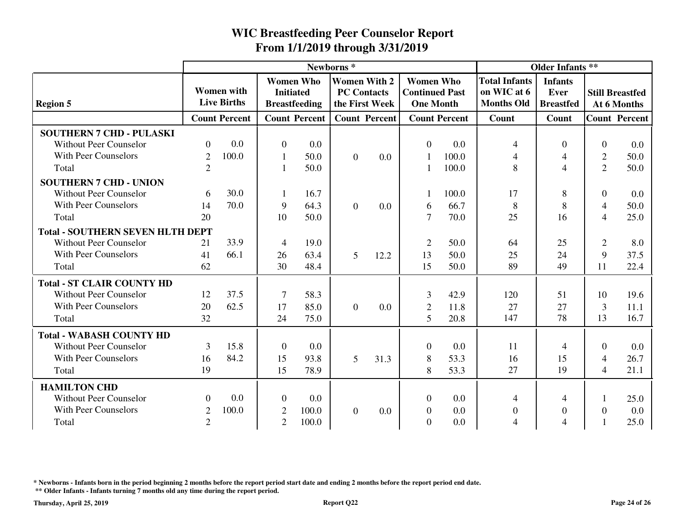|                                         |                |                                         |                  |                                          | Newborns <sup>*</sup>                     |                      |                                                               |                      |                                                          | <b>Older Infants **</b>                    |                |                                       |
|-----------------------------------------|----------------|-----------------------------------------|------------------|------------------------------------------|-------------------------------------------|----------------------|---------------------------------------------------------------|----------------------|----------------------------------------------------------|--------------------------------------------|----------------|---------------------------------------|
| <b>Region 5</b>                         |                | <b>Women</b> with<br><b>Live Births</b> | <b>Initiated</b> | <b>Women Who</b><br><b>Breastfeeding</b> | <b>Women With 2</b><br><b>PC Contacts</b> | the First Week       | <b>Women Who</b><br><b>Continued Past</b><br><b>One Month</b> |                      | <b>Total Infants</b><br>on WIC at 6<br><b>Months Old</b> | <b>Infants</b><br>Ever<br><b>Breastfed</b> |                | <b>Still Breastfed</b><br>At 6 Months |
|                                         |                | <b>Count Percent</b>                    |                  | <b>Count Percent</b>                     |                                           | <b>Count Percent</b> |                                                               | <b>Count Percent</b> | Count                                                    | Count                                      |                | <b>Count Percent</b>                  |
| <b>SOUTHERN 7 CHD - PULASKI</b>         |                |                                         |                  |                                          |                                           |                      |                                                               |                      |                                                          |                                            |                |                                       |
| <b>Without Peer Counselor</b>           | $\Omega$       | 0.0                                     | $\overline{0}$   | 0.0                                      |                                           |                      | $\theta$                                                      | 0.0                  | $\overline{4}$                                           | $\boldsymbol{0}$                           | $\Omega$       | 0.0                                   |
| <b>With Peer Counselors</b>             | $\overline{2}$ | 100.0                                   | $\mathbf{1}$     | 50.0                                     | $\overline{0}$                            | 0.0                  | 1                                                             | 100.0                | $\overline{4}$                                           | 4                                          | $\overline{2}$ | 50.0                                  |
| Total                                   | $\overline{2}$ |                                         | 1                | 50.0                                     |                                           |                      |                                                               | 100.0                | 8                                                        | $\overline{4}$                             | $\overline{2}$ | 50.0                                  |
| <b>SOUTHERN 7 CHD - UNION</b>           |                |                                         |                  |                                          |                                           |                      |                                                               |                      |                                                          |                                            |                |                                       |
| <b>Without Peer Counselor</b>           | 6              | 30.0                                    | 1                | 16.7                                     |                                           |                      | -1                                                            | 100.0                | 17                                                       | 8                                          | $\Omega$       | 0.0                                   |
| <b>With Peer Counselors</b>             | 14             | 70.0                                    | 9                | 64.3                                     | $\overline{0}$                            | 0.0                  | 6                                                             | 66.7                 | 8                                                        | 8                                          | 4              | 50.0                                  |
| Total                                   | 20             |                                         | 10               | 50.0                                     |                                           |                      | $\overline{7}$                                                | 70.0                 | 25                                                       | 16                                         | $\overline{4}$ | 25.0                                  |
| <b>Total - SOUTHERN SEVEN HLTH DEPT</b> |                |                                         |                  |                                          |                                           |                      |                                                               |                      |                                                          |                                            |                |                                       |
| <b>Without Peer Counselor</b>           | 21             | 33.9                                    | 4                | 19.0                                     |                                           |                      | $\overline{2}$                                                | 50.0                 | 64                                                       | 25                                         | $\overline{2}$ | 8.0                                   |
| <b>With Peer Counselors</b>             | 41             | 66.1                                    | 26               | 63.4                                     | 5                                         | 12.2                 | 13                                                            | 50.0                 | 25                                                       | 24                                         | 9              | 37.5                                  |
| Total                                   | 62             |                                         | 30               | 48.4                                     |                                           |                      | 15                                                            | 50.0                 | 89                                                       | 49                                         | 11             | 22.4                                  |
| <b>Total - ST CLAIR COUNTY HD</b>       |                |                                         |                  |                                          |                                           |                      |                                                               |                      |                                                          |                                            |                |                                       |
| <b>Without Peer Counselor</b>           | 12             | 37.5                                    | 7                | 58.3                                     |                                           |                      | 3                                                             | 42.9                 | 120                                                      | 51                                         | 10             | 19.6                                  |
| <b>With Peer Counselors</b>             | 20             | 62.5                                    | 17               | 85.0                                     | $\overline{0}$                            | 0.0                  | $\overline{2}$                                                | 11.8                 | 27                                                       | 27                                         | 3              | 11.1                                  |
| Total                                   | 32             |                                         | 24               | 75.0                                     |                                           |                      | 5                                                             | 20.8                 | 147                                                      | 78                                         | 13             | 16.7                                  |
| <b>Total - WABASH COUNTY HD</b>         |                |                                         |                  |                                          |                                           |                      |                                                               |                      |                                                          |                                            |                |                                       |
| <b>Without Peer Counselor</b>           | 3              | 15.8                                    | $\overline{0}$   | 0.0                                      |                                           |                      | $\overline{0}$                                                | 0.0                  | 11                                                       | $\overline{4}$                             | $\Omega$       | 0.0                                   |
| With Peer Counselors                    | 16             | 84.2                                    | 15               | 93.8                                     | 5                                         | 31.3                 | 8                                                             | 53.3                 | 16                                                       | 15                                         | $\overline{4}$ | 26.7                                  |
| Total                                   | 19             |                                         | 15               | 78.9                                     |                                           |                      | 8                                                             | 53.3                 | 27                                                       | 19                                         | 4              | 21.1                                  |
| <b>HAMILTON CHD</b>                     |                |                                         |                  |                                          |                                           |                      |                                                               |                      |                                                          |                                            |                |                                       |
| <b>Without Peer Counselor</b>           | $\theta$       | 0.0                                     | $\overline{0}$   | 0.0                                      |                                           |                      | $\theta$                                                      | 0.0                  | 4                                                        | 4                                          |                | 25.0                                  |
| <b>With Peer Counselors</b>             | $\overline{2}$ | 100.0                                   | $\mathfrak{2}$   | 100.0                                    | $\overline{0}$                            | 0.0                  | $\mathbf{0}$                                                  | 0.0                  | $\boldsymbol{0}$                                         | 0                                          | $\Omega$       | 0.0                                   |
| Total                                   | $\overline{2}$ |                                         | $\overline{2}$   | 100.0                                    |                                           |                      | $\Omega$                                                      | 0.0                  | $\overline{\mathcal{A}}$                                 | 4                                          |                | 25.0                                  |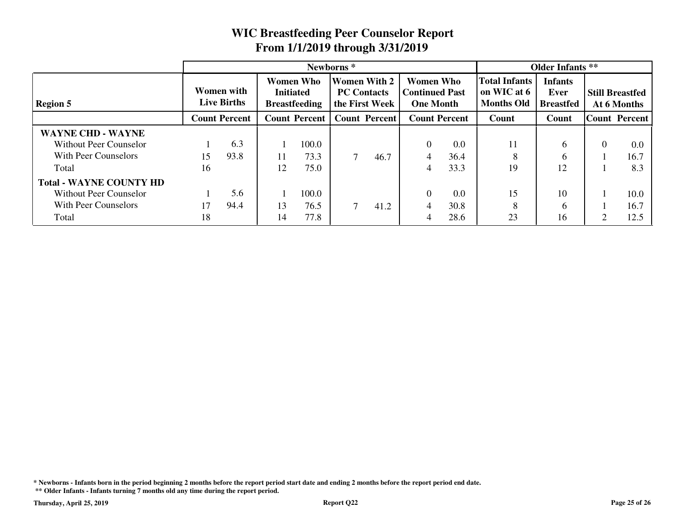|                                | Newborns <sup>*</sup>            |      |                                                       |       |                                                             |                      |                                                        |      | <b>Older Infants</b> **                                  |                                            |                                       |      |  |
|--------------------------------|----------------------------------|------|-------------------------------------------------------|-------|-------------------------------------------------------------|----------------------|--------------------------------------------------------|------|----------------------------------------------------------|--------------------------------------------|---------------------------------------|------|--|
| <b>Region 5</b>                | Women with<br><b>Live Births</b> |      | Women Who<br><b>Initiated</b><br><b>Breastfeeding</b> |       | <b>Women With 2</b><br><b>PC Contacts</b><br>the First Week |                      | Women Who<br><b>Continued Past</b><br><b>One Month</b> |      | <b>Total Infants</b><br>on WIC at 6<br><b>Months Old</b> | <b>Infants</b><br>Ever<br><b>Breastfed</b> | <b>Still Breastfed</b><br>At 6 Months |      |  |
|                                | <b>Count Percent</b>             |      | <b>Count Percent</b>                                  |       |                                                             | <b>Count Percent</b> | <b>Count Percent</b>                                   |      | Count                                                    | Count                                      | <b>Count Percent</b>                  |      |  |
| <b>WAYNE CHD - WAYNE</b>       |                                  |      |                                                       |       |                                                             |                      |                                                        |      |                                                          |                                            |                                       |      |  |
| <b>Without Peer Counselor</b>  |                                  | 6.3  |                                                       | 100.0 |                                                             |                      |                                                        | 0.0  | 11                                                       | 6                                          |                                       | 0.0  |  |
| With Peer Counselors           | 15                               | 93.8 | 11                                                    | 73.3  |                                                             | 46.7                 |                                                        | 36.4 | 8                                                        | 6                                          |                                       | 16.7 |  |
| Total                          | 16                               |      | 12                                                    | 75.0  |                                                             |                      | 4                                                      | 33.3 | 19                                                       | 12                                         |                                       | 8.3  |  |
| <b>Total - WAYNE COUNTY HD</b> |                                  |      |                                                       |       |                                                             |                      |                                                        |      |                                                          |                                            |                                       |      |  |
| <b>Without Peer Counselor</b>  |                                  | 5.6  |                                                       | 100.0 |                                                             |                      |                                                        | 0.0  | 15                                                       | 10                                         |                                       | 10.0 |  |
| With Peer Counselors           |                                  | 94.4 | 13                                                    | 76.5  |                                                             | 41.2                 | 4                                                      | 30.8 | 8                                                        | 6                                          |                                       | 16.7 |  |
| Total                          | 18                               |      | 14                                                    | 77.8  |                                                             |                      | 4                                                      | 28.6 | 23                                                       | 16                                         |                                       | 12.5 |  |

**\* Newborns - Infants born in the period beginning 2 months before the report period start date and ending 2 months before the report period end date.**

**\*\* Older Infants - Infants turning 7 months old any time during the report period.**